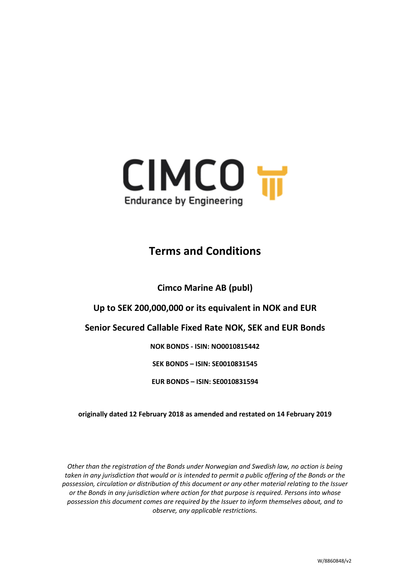

# **Terms and Conditions**

**Cimco Marine AB (publ)**

**Up to SEK 200,000,000 or its equivalent in NOK and EUR**

# **Senior Secured Callable Fixed Rate NOK, SEK and EUR Bonds**

**NOK BONDS - ISIN: NO0010815442**

**SEK BONDS – ISIN: SE0010831545**

**EUR BONDS – ISIN: SE0010831594**

**originally dated 12 February 2018 as amended and restated on 14 February 2019**

*Other than the registration of the Bonds under Norwegian and Swedish law, no action is being taken in any jurisdiction that would or is intended to permit a public offering of the Bonds or the possession, circulation or distribution of this document or any other material relating to the Issuer or the Bonds in any jurisdiction where action for that purpose is required. Persons into whose possession this document comes are required by the Issuer to inform themselves about, and to observe, any applicable restrictions.*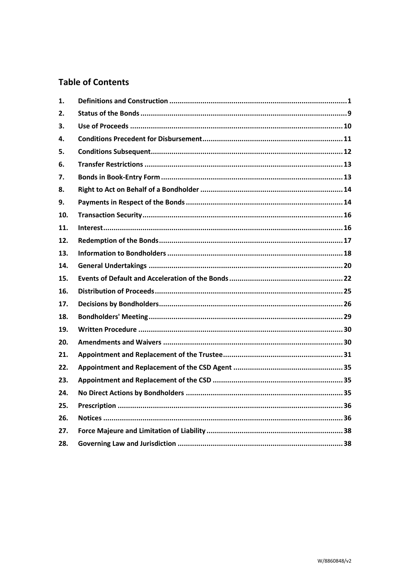# **Table of Contents**

| 1.  |  |
|-----|--|
| 2.  |  |
| 3.  |  |
| 4.  |  |
| 5.  |  |
| 6.  |  |
| 7.  |  |
| 8.  |  |
| 9.  |  |
| 10. |  |
| 11. |  |
| 12. |  |
| 13. |  |
| 14. |  |
| 15. |  |
| 16. |  |
| 17. |  |
| 18. |  |
| 19. |  |
| 20. |  |
| 21. |  |
| 22. |  |
| 23. |  |
| 24. |  |
| 25. |  |
| 26. |  |
| 27. |  |
| 28. |  |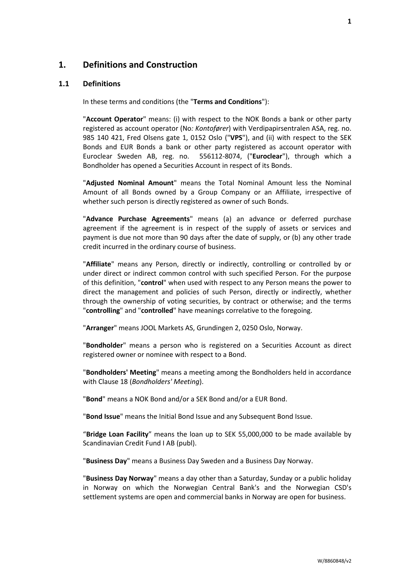# <span id="page-2-0"></span>**1. Definitions and Construction**

## <span id="page-2-1"></span>**1.1 Definitions**

In these terms and conditions (the "**Terms and Conditions**"):

"**Account Operator**" means: (i) with respect to the NOK Bonds a bank or other party registered as account operator (No*: Kontofører*) with Verdipapirsentralen ASA, reg. no. 985 140 421, Fred Olsens gate 1, 0152 Oslo ("**VPS**"), and (ii) with respect to the SEK Bonds and EUR Bonds a bank or other party registered as account operator with Euroclear Sweden AB, reg. no. 556112-8074, ("**Euroclear**"), through which a Bondholder has opened a Securities Account in respect of its Bonds.

"**Adjusted Nominal Amount**" means the Total Nominal Amount less the Nominal Amount of all Bonds owned by a Group Company or an Affiliate, irrespective of whether such person is directly registered as owner of such Bonds.

"**Advance Purchase Agreements**" means (a) an advance or deferred purchase agreement if the agreement is in respect of the supply of assets or services and payment is due not more than 90 days after the date of supply, or (b) any other trade credit incurred in the ordinary course of business.

"**Affiliate**" means any Person, directly or indirectly, controlling or controlled by or under direct or indirect common control with such specified Person. For the purpose of this definition, "**control**" when used with respect to any Person means the power to direct the management and policies of such Person, directly or indirectly, whether through the ownership of voting securities, by contract or otherwise; and the terms "**controlling**" and "**controlled**" have meanings correlative to the foregoing.

"**Arranger**" means JOOL Markets AS, Grundingen 2, 0250 Oslo, Norway.

"**Bondholder**" means a person who is registered on a Securities Account as direct registered owner or nominee with respect to a Bond.

"**Bondholders' Meeting**" means a meeting among the Bondholders held in accordance with Clause [18](#page-30-0) (*[Bondholders'](#page-30-0) Meeting*).

"**Bond**" means a NOK Bond and/or a SEK Bond and/or a EUR Bond.

"**Bond Issue**" means the Initial Bond Issue and any Subsequent Bond Issue.

"**Bridge Loan Facility**" means the loan up to SEK 55,000,000 to be made available by Scandinavian Credit Fund I AB (publ).

"**Business Day**" means a Business Day Sweden and a Business Day Norway.

"**Business Day Norway**" means a day other than a Saturday, Sunday or a public holiday in Norway on which the Norwegian Central Bank's and the Norwegian CSD's settlement systems are open and commercial banks in Norway are open for business.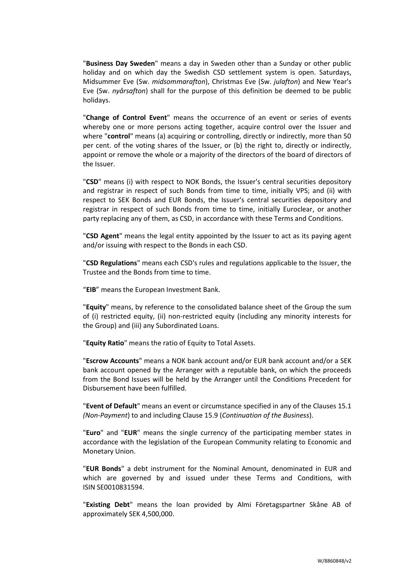"**Business Day Sweden**" means a day in Sweden other than a Sunday or other public holiday and on which day the Swedish CSD settlement system is open. Saturdays, Midsummer Eve (Sw. *midsommarafton*), Christmas Eve (Sw. *julafton*) and New Year's Eve (Sw. *nyårsafton*) shall for the purpose of this definition be deemed to be public holidays.

"**Change of Control Event**" means the occurrence of an event or series of events whereby one or more persons acting together, acquire control over the Issuer and where "**control**" means (a) acquiring or controlling, directly or indirectly, more than 50 per cent. of the voting shares of the Issuer, or (b) the right to, directly or indirectly, appoint or remove the whole or a majority of the directors of the board of directors of the Issuer.

"**CSD**" means (i) with respect to NOK Bonds, the Issuer's central securities depository and registrar in respect of such Bonds from time to time, initially VPS; and (ii) with respect to SEK Bonds and EUR Bonds, the Issuer's central securities depository and registrar in respect of such Bonds from time to time, initially Euroclear, or another party replacing any of them, as CSD, in accordance with these Terms and Conditions.

"**CSD Agent**" means the legal entity appointed by the Issuer to act as its paying agent and/or issuing with respect to the Bonds in each CSD.

"**CSD Regulations**" means each CSD's rules and regulations applicable to the Issuer, the Trustee and the Bonds from time to time.

"**EIB**" means the European Investment Bank.

"**Equity**" means, by reference to the consolidated balance sheet of the Group the sum of (i) restricted equity, (ii) non-restricted equity (including any minority interests for the Group) and (iii) any Subordinated Loans.

"**Equity Ratio**" means the ratio of Equity to Total Assets.

"**Escrow Accounts**" means a NOK bank account and/or EUR bank account and/or a SEK bank account opened by the Arranger with a reputable bank, on which the proceeds from the Bond Issues will be held by the Arranger until the Conditions Precedent for Disbursement have been fulfilled.

"**Event of Default**" means an event or circumstance specified in any of the Clauses [15.1](#page-23-1) *(Non-Payment*) to and including Clause [15.9](#page-25-0) (*[Continuation of the Business](#page-25-0)*).

"**Euro**" and "**EUR**" means the single currency of the participating member states in accordance with the legislation of the European Community relating to Economic and Monetary Union.

"**EUR Bonds**" a debt instrument for the Nominal Amount, denominated in EUR and which are governed by and issued under these Terms and Conditions, with ISIN SE0010831594.

"**Existing Debt**" means the loan provided by Almi Företagspartner Skåne AB of approximately SEK 4,500,000.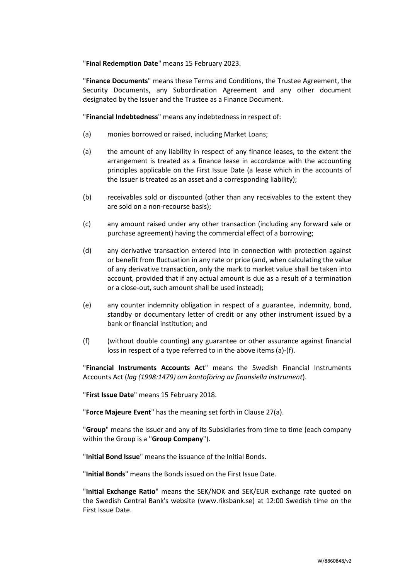"**Final Redemption Date**" means 15 February 2023.

"**Finance Documents**" means these Terms and Conditions, the Trustee Agreement, the Security Documents, any Subordination Agreement and any other document designated by the Issuer and the Trustee as a Finance Document.

"**Financial Indebtedness**" means any indebtedness in respect of:

- (a) monies borrowed or raised, including Market Loans;
- (a) the amount of any liability in respect of any finance leases, to the extent the arrangement is treated as a finance lease in accordance with the accounting principles applicable on the First Issue Date (a lease which in the accounts of the Issuer is treated as an asset and a corresponding liability);
- (b) receivables sold or discounted (other than any receivables to the extent they are sold on a non-recourse basis);
- (c) any amount raised under any other transaction (including any forward sale or purchase agreement) having the commercial effect of a borrowing;
- (d) any derivative transaction entered into in connection with protection against or benefit from fluctuation in any rate or price (and, when calculating the value of any derivative transaction, only the mark to market value shall be taken into account, provided that if any actual amount is due as a result of a termination or a close-out, such amount shall be used instead);
- (e) any counter indemnity obligation in respect of a guarantee, indemnity, bond, standby or documentary letter of credit or any other instrument issued by a bank or financial institution; and
- (f) (without double counting) any guarantee or other assurance against financial loss in respect of a type referred to in the above items (a)-(f).

"**Financial Instruments Accounts Act**" means the Swedish Financial Instruments Accounts Act (*lag (1998:1479) om kontoföring av finansiella instrument*).

"**First Issue Date**" means 15 February 2018.

"**Force Majeure Event**" has the meaning set forth in Clause [27\(a\).](#page-39-2)

"**Group**" means the Issuer and any of its Subsidiaries from time to time (each company within the Group is a "**Group Company**").

"**Initial Bond Issue**" means the issuance of the Initial Bonds.

"**Initial Bonds**" means the Bonds issued on the First Issue Date.

"**Initial Exchange Ratio**" means the SEK/NOK and SEK/EUR exchange rate quoted on the Swedish Central Bank's website (www.riksbank.se) at 12:00 Swedish time on the First Issue Date.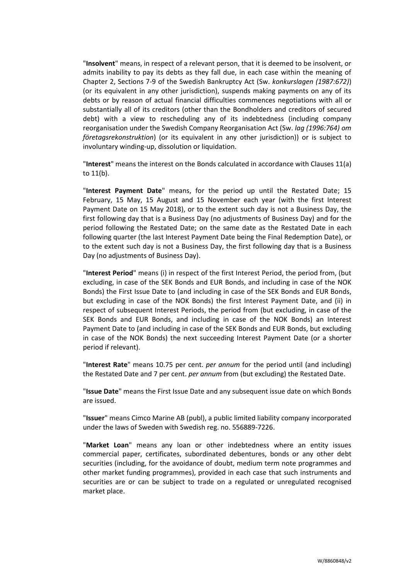"**Insolvent**" means, in respect of a relevant person, that it is deemed to be insolvent, or admits inability to pay its debts as they fall due, in each case within the meaning of Chapter 2, Sections 7-9 of the Swedish Bankruptcy Act (Sw. *konkurslagen (1987:672)*) (or its equivalent in any other jurisdiction), suspends making payments on any of its debts or by reason of actual financial difficulties commences negotiations with all or substantially all of its creditors (other than the Bondholders and creditors of secured debt) with a view to rescheduling any of its indebtedness (including company reorganisation under the Swedish Company Reorganisation Act (Sw. *lag (1996:764) om företagsrekonstruktion*) (or its equivalent in any other jurisdiction)) or is subject to involuntary winding-up, dissolution or liquidation.

"**Interest**" means the interest on the Bonds calculated in accordance with Clauses [11\(a\)](#page-17-2) t[o 11\(b\).](#page-17-3)

"**Interest Payment Date**" means, for the period up until the Restated Date; 15 February, 15 May, 15 August and 15 November each year (with the first Interest Payment Date on 15 May 2018), or to the extent such day is not a Business Day, the first following day that is a Business Day (no adjustments of Business Day) and for the period following the Restated Date; on the same date as the Restated Date in each following quarter (the last Interest Payment Date being the Final Redemption Date), or to the extent such day is not a Business Day, the first following day that is a Business Day (no adjustments of Business Day).

"**Interest Period**" means (i) in respect of the first Interest Period, the period from, (but excluding, in case of the SEK Bonds and EUR Bonds, and including in case of the NOK Bonds) the First Issue Date to (and including in case of the SEK Bonds and EUR Bonds, but excluding in case of the NOK Bonds) the first Interest Payment Date, and (ii) in respect of subsequent Interest Periods, the period from (but excluding, in case of the SEK Bonds and EUR Bonds, and including in case of the NOK Bonds) an Interest Payment Date to (and including in case of the SEK Bonds and EUR Bonds, but excluding in case of the NOK Bonds) the next succeeding Interest Payment Date (or a shorter period if relevant).

"**Interest Rate**" means 10.75 per cent. *per annum* for the period until (and including) the Restated Date and 7 per cent. *per annum* from (but excluding) the Restated Date.

"**Issue Date**" means the First Issue Date and any subsequent issue date on which Bonds are issued.

"**Issuer**" means Cimco Marine AB (publ), a public limited liability company incorporated under the laws of Sweden with Swedish reg. no. 556889-7226.

"**Market Loan**" means any loan or other indebtedness where an entity issues commercial paper, certificates, subordinated debentures, bonds or any other debt securities (including, for the avoidance of doubt, medium term note programmes and other market funding programmes), provided in each case that such instruments and securities are or can be subject to trade on a regulated or unregulated recognised market place.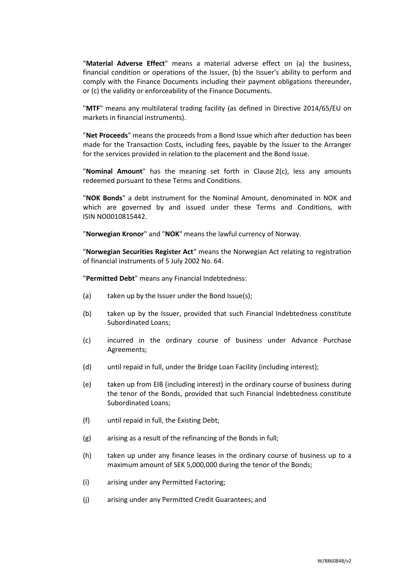"**Material Adverse Effect**" means a material adverse effect on (a) the business, financial condition or operations of the Issuer, (b) the Issuer's ability to perform and comply with the Finance Documents including their payment obligations thereunder, or (c) the validity or enforceability of the Finance Documents.

"**MTF**" means any multilateral trading facility (as defined in Directive 2014/65/EU on markets in financial instruments).

"**Net Proceeds**" means the proceeds from a Bond Issue which after deduction has been made for the Transaction Costs, including fees, payable by the Issuer to the Arranger for the services provided in relation to the placement and the Bond Issue.

"**Nominal Amount**" has the meaning set forth in Clause [2\(c\),](#page-10-1) less any amounts redeemed pursuant to these Terms and Conditions.

"**NOK Bonds**" a debt instrument for the Nominal Amount, denominated in NOK and which are governed by and issued under these Terms and Conditions, with ISIN NO0010815442.

"**Norwegian Kronor**" and "**NOK**" means the lawful currency of Norway.

"**Norwegian Securities Register Act**" means the Norwegian Act relating to registration of financial instruments of 5 July 2002 No. 64.

"**Permitted Debt**" means any Financial Indebtedness:

- (a) taken up by the Issuer under the Bond Issue(s);
- (b) taken up by the Issuer, provided that such Financial Indebtedness constitute Subordinated Loans;
- (c) incurred in the ordinary course of business under Advance Purchase Agreements;
- (d) until repaid in full, under the Bridge Loan Facility (including interest);
- (e) taken up from EIB (including interest) in the ordinary course of business during the tenor of the Bonds, provided that such Financial Indebtedness constitute Subordinated Loans;
- (f) until repaid in full, the Existing Debt;
- (g) arising as a result of the refinancing of the Bonds in full;
- (h) taken up under any finance leases in the ordinary course of business up to a maximum amount of SEK 5,000,000 during the tenor of the Bonds;
- (i) arising under any Permitted Factoring;
- (j) arising under any Permitted Credit Guarantees; and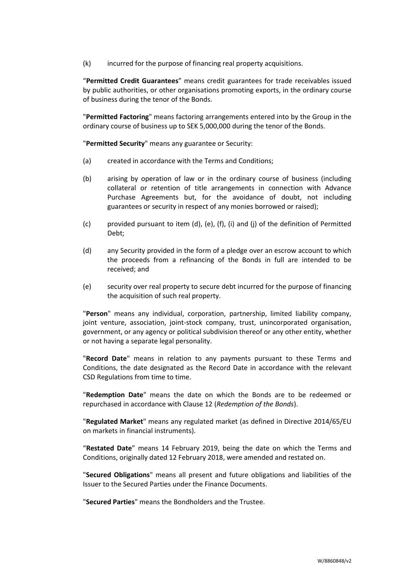(k) incurred for the purpose of financing real property acquisitions.

"**Permitted Credit Guarantees**" means credit guarantees for trade receivables issued by public authorities, or other organisations promoting exports, in the ordinary course of business during the tenor of the Bonds.

"**Permitted Factoring**" means factoring arrangements entered into by the Group in the ordinary course of business up to SEK 5,000,000 during the tenor of the Bonds.

"**Permitted Security**" means any guarantee or Security:

- (a) created in accordance with the Terms and Conditions;
- (b) arising by operation of law or in the ordinary course of business (including collateral or retention of title arrangements in connection with Advance Purchase Agreements but, for the avoidance of doubt, not including guarantees or security in respect of any monies borrowed or raised);
- (c) provided pursuant to item (d), (e), (f), (i) and (j) of the definition of Permitted Debt;
- (d) any Security provided in the form of a pledge over an escrow account to which the proceeds from a refinancing of the Bonds in full are intended to be received; and
- (e) security over real property to secure debt incurred for the purpose of financing the acquisition of such real property.

"**Person**" means any individual, corporation, partnership, limited liability company, joint venture, association, joint-stock company, trust, unincorporated organisation, government, or any agency or political subdivision thereof or any other entity, whether or not having a separate legal personality.

"**Record Date**" means in relation to any payments pursuant to these Terms and Conditions, the date designated as the Record Date in accordance with the relevant CSD Regulations from time to time.

"**Redemption Date**" means the date on which the Bonds are to be redeemed or repurchased in accordance with Clause [12](#page-18-0) (*[Redemption of the Bonds](#page-18-0)*).

"**Regulated Market**" means any regulated market (as defined in Directive 2014/65/EU on markets in financial instruments).

"**Restated Date**" means 14 February 2019, being the date on which the Terms and Conditions, originally dated 12 February 2018, were amended and restated on.

"**Secured Obligations**" means all present and future obligations and liabilities of the Issuer to the Secured Parties under the Finance Documents.

"**Secured Parties**" means the Bondholders and the Trustee.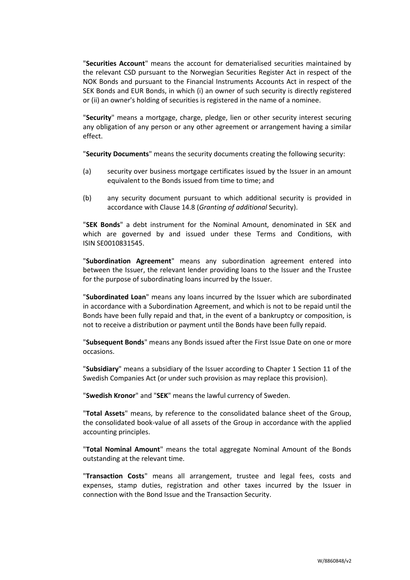"**Securities Account**" means the account for dematerialised securities maintained by the relevant CSD pursuant to the Norwegian Securities Register Act in respect of the NOK Bonds and pursuant to the Financial Instruments Accounts Act in respect of the SEK Bonds and EUR Bonds, in which (i) an owner of such security is directly registered or (ii) an owner's holding of securities is registered in the name of a nominee.

"**Security**" means a mortgage, charge, pledge, lien or other security interest securing any obligation of any person or any other agreement or arrangement having a similar effect.

"**Security Documents**" means the security documents creating the following security:

- (a) security over business mortgage certificates issued by the Issuer in an amount equivalent to the Bonds issued from time to time; and
- (b) any security document pursuant to which additional security is provided in accordance with Clause [14.8](#page-22-0) (*[Granting of](#page-22-0) additional* Security).

"**SEK Bonds**" a debt instrument for the Nominal Amount, denominated in SEK and which are governed by and issued under these Terms and Conditions, with ISIN SE0010831545.

"**Subordination Agreement**" means any subordination agreement entered into between the Issuer, the relevant lender providing loans to the Issuer and the Trustee for the purpose of subordinating loans incurred by the Issuer.

"**Subordinated Loan**" means any loans incurred by the Issuer which are subordinated in accordance with a Subordination Agreement, and which is not to be repaid until the Bonds have been fully repaid and that, in the event of a bankruptcy or composition, is not to receive a distribution or payment until the Bonds have been fully repaid.

"**Subsequent Bonds**" means any Bonds issued after the First Issue Date on one or more occasions.

"**Subsidiary**" means a subsidiary of the Issuer according to Chapter 1 Section 11 of the Swedish Companies Act (or under such provision as may replace this provision).

"**Swedish Kronor**" and "**SEK**" means the lawful currency of Sweden.

"**Total Assets**" means, by reference to the consolidated balance sheet of the Group, the consolidated book-value of all assets of the Group in accordance with the applied accounting principles.

"**Total Nominal Amount**" means the total aggregate Nominal Amount of the Bonds outstanding at the relevant time.

"**Transaction Costs**" means all arrangement, trustee and legal fees, costs and expenses, stamp duties, registration and other taxes incurred by the Issuer in connection with the Bond Issue and the Transaction Security.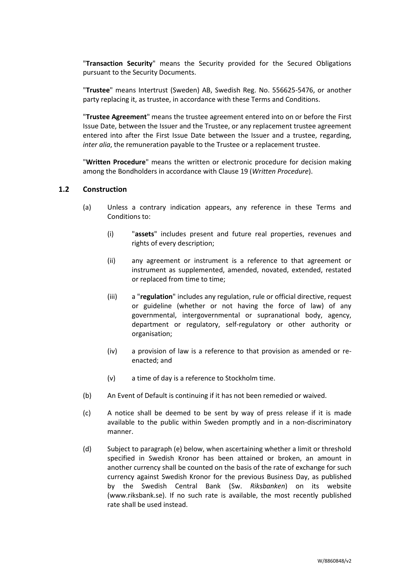"**Transaction Security**" means the Security provided for the Secured Obligations pursuant to the Security Documents.

"**Trustee**" means Intertrust (Sweden) AB, Swedish Reg. No. 556625-5476, or another party replacing it, as trustee, in accordance with these Terms and Conditions.

"**Trustee Agreement**" means the trustee agreement entered into on or before the First Issue Date, between the Issuer and the Trustee, or any replacement trustee agreement entered into after the First Issue Date between the Issuer and a trustee, regarding, *inter alia*, the remuneration payable to the Trustee or a replacement trustee.

"**Written Procedure**" means the written or electronic procedure for decision making among the Bondholders in accordance with Clause [19](#page-31-0) (*[Written Procedure](#page-31-0)*).

### **1.2 Construction**

- (a) Unless a contrary indication appears, any reference in these Terms and Conditions to:
	- (i) "**assets**" includes present and future real properties, revenues and rights of every description;
	- (ii) any agreement or instrument is a reference to that agreement or instrument as supplemented, amended, novated, extended, restated or replaced from time to time;
	- (iii) a "**regulation**" includes any regulation, rule or official directive, request or guideline (whether or not having the force of law) of any governmental, intergovernmental or supranational body, agency, department or regulatory, self-regulatory or other authority or organisation;
	- (iv) a provision of law is a reference to that provision as amended or reenacted; and
	- (v) a time of day is a reference to Stockholm time.
- (b) An Event of Default is continuing if it has not been remedied or waived.
- (c) A notice shall be deemed to be sent by way of press release if it is made available to the public within Sweden promptly and in a non-discriminatory manner.
- (d) Subject to paragraph (e) below, when ascertaining whether a limit or threshold specified in Swedish Kronor has been attained or broken, an amount in another currency shall be counted on the basis of the rate of exchange for such currency against Swedish Kronor for the previous Business Day, as published by the Swedish Central Bank (Sw. *Riksbanken*) on its website (www.riksbank.se). If no such rate is available, the most recently published rate shall be used instead.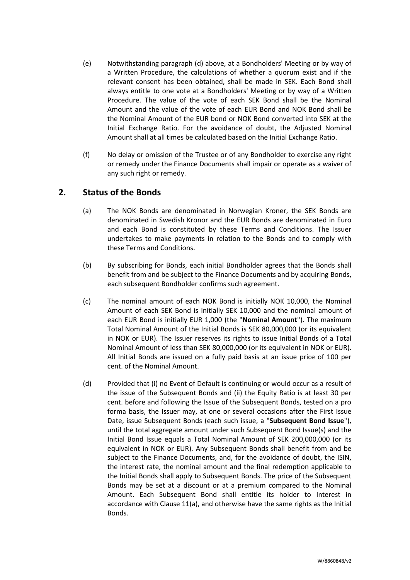- (e) Notwithstanding paragraph (d) above, at a Bondholders' Meeting or by way of a Written Procedure, the calculations of whether a quorum exist and if the relevant consent has been obtained, shall be made in SEK. Each Bond shall always entitle to one vote at a Bondholders' Meeting or by way of a Written Procedure. The value of the vote of each SEK Bond shall be the Nominal Amount and the value of the vote of each EUR Bond and NOK Bond shall be the Nominal Amount of the EUR bond or NOK Bond converted into SEK at the Initial Exchange Ratio. For the avoidance of doubt, the Adjusted Nominal Amount shall at all times be calculated based on the Initial Exchange Ratio.
- (f) No delay or omission of the Trustee or of any Bondholder to exercise any right or remedy under the Finance Documents shall impair or operate as a waiver of any such right or remedy.

# <span id="page-10-3"></span><span id="page-10-0"></span>**2. Status of the Bonds**

- (a) The NOK Bonds are denominated in Norwegian Kroner, the SEK Bonds are denominated in Swedish Kronor and the EUR Bonds are denominated in Euro and each Bond is constituted by these Terms and Conditions. The Issuer undertakes to make payments in relation to the Bonds and to comply with these Terms and Conditions.
- (b) By subscribing for Bonds, each initial Bondholder agrees that the Bonds shall benefit from and be subject to the Finance Documents and by acquiring Bonds, each subsequent Bondholder confirms such agreement.
- <span id="page-10-1"></span>(c) The nominal amount of each NOK Bond is initially NOK 10,000, the Nominal Amount of each SEK Bond is initially SEK 10,000 and the nominal amount of each EUR Bond is initially EUR 1,000 (the "**Nominal Amount**"). The maximum Total Nominal Amount of the Initial Bonds is SEK 80,000,000 (or its equivalent in NOK or EUR). The Issuer reserves its rights to issue Initial Bonds of a Total Nominal Amount of less than SEK 80,000,000 (or its equivalent in NOK or EUR). All Initial Bonds are issued on a fully paid basis at an issue price of 100 per cent. of the Nominal Amount.
- <span id="page-10-2"></span>(d) Provided that (i) no Event of Default is continuing or would occur as a result of the issue of the Subsequent Bonds and (ii) the Equity Ratio is at least 30 per cent. before and following the Issue of the Subsequent Bonds, tested on a pro forma basis, the Issuer may, at one or several occasions after the First Issue Date, issue Subsequent Bonds (each such issue, a "**Subsequent Bond Issue**"), until the total aggregate amount under such Subsequent Bond Issue(s) and the Initial Bond Issue equals a Total Nominal Amount of SEK 200,000,000 (or its equivalent in NOK or EUR). Any Subsequent Bonds shall benefit from and be subject to the Finance Documents, and, for the avoidance of doubt, the ISIN, the interest rate, the nominal amount and the final redemption applicable to the Initial Bonds shall apply to Subsequent Bonds. The price of the Subsequent Bonds may be set at a discount or at a premium compared to the Nominal Amount. Each Subsequent Bond shall entitle its holder to Interest in accordance with Clause [11\(a\),](#page-17-2) and otherwise have the same rights as the Initial Bonds.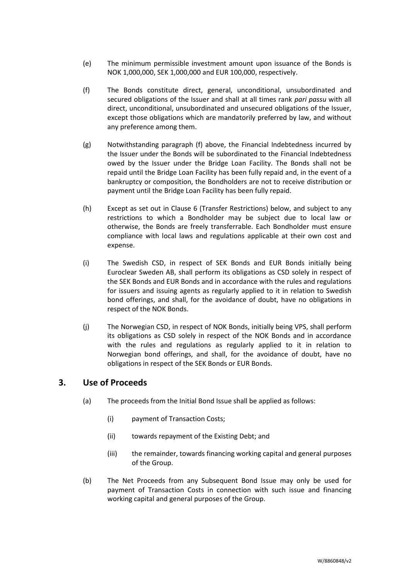- (e) The minimum permissible investment amount upon issuance of the Bonds is NOK 1,000,000, SEK 1,000,000 and EUR 100,000, respectively.
- <span id="page-11-3"></span>(f) The Bonds constitute direct, general, unconditional, unsubordinated and secured obligations of the Issuer and shall at all times rank *pari passu* with all direct, unconditional, unsubordinated and unsecured obligations of the Issuer, except those obligations which are mandatorily preferred by law, and without any preference among them.
- (g) Notwithstanding paragraph (f) above, the Financial Indebtedness incurred by the Issuer under the Bonds will be subordinated to the Financial Indebtedness owed by the Issuer under the Bridge Loan Facility. The Bonds shall not be repaid until the Bridge Loan Facility has been fully repaid and, in the event of a bankruptcy or composition, the Bondholders are not to receive distribution or payment until the Bridge Loan Facility has been fully repaid.
- (h) Except as set out in Clause [6](#page-14-0) (Transfer [Restrictions\)](#page-14-0) below, and subject to any restrictions to which a Bondholder may be subject due to local law or otherwise, the Bonds are freely transferrable. Each Bondholder must ensure compliance with local laws and regulations applicable at their own cost and expense.
- (i) The Swedish CSD, in respect of SEK Bonds and EUR Bonds initially being Euroclear Sweden AB, shall perform its obligations as CSD solely in respect of the SEK Bonds and EUR Bonds and in accordance with the rules and regulations for issuers and issuing agents as regularly applied to it in relation to Swedish bond offerings, and shall, for the avoidance of doubt, have no obligations in respect of the NOK Bonds.
- (j) The Norwegian CSD, in respect of NOK Bonds, initially being VPS, shall perform its obligations as CSD solely in respect of the NOK Bonds and in accordance with the rules and regulations as regularly applied to it in relation to Norwegian bond offerings, and shall, for the avoidance of doubt, have no obligations in respect of the SEK Bonds or EUR Bonds.

# <span id="page-11-1"></span><span id="page-11-0"></span>**3. Use of Proceeds**

- (a) The proceeds from the Initial Bond Issue shall be applied as follows:
	- (i) payment of Transaction Costs;
	- (ii) towards repayment of the Existing Debt; and
	- (iii) the remainder, towards financing working capital and general purposes of the Group.
- <span id="page-11-2"></span>(b) The Net Proceeds from any Subsequent Bond Issue may only be used for payment of Transaction Costs in connection with such issue and financing working capital and general purposes of the Group.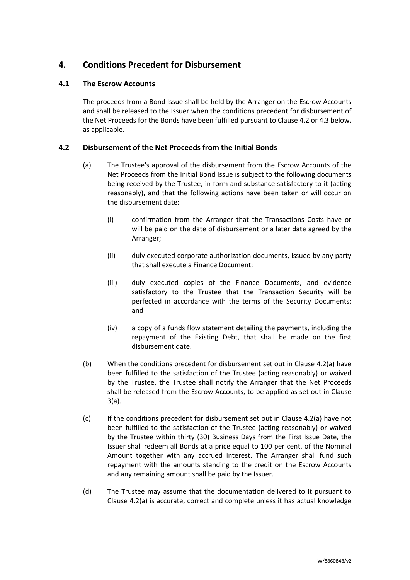# <span id="page-12-0"></span>**4. Conditions Precedent for Disbursement**

## **4.1 The Escrow Accounts**

The proceeds from a Bond Issue shall be held by the Arranger on the Escrow Accounts and shall be released to the Issuer when the conditions precedent for disbursement of the Net Proceeds for the Bonds have been fulfilled pursuant to Clause [4.2](#page-12-1) o[r 4.3](#page-13-1) below, as applicable.

## <span id="page-12-2"></span><span id="page-12-1"></span>**4.2 Disbursement of the Net Proceeds from the Initial Bonds**

- (a) The Trustee's approval of the disbursement from the Escrow Accounts of the Net Proceeds from the Initial Bond Issue is subject to the following documents being received by the Trustee, in form and substance satisfactory to it (acting reasonably), and that the following actions have been taken or will occur on the disbursement date:
	- (i) confirmation from the Arranger that the Transactions Costs have or will be paid on the date of disbursement or a later date agreed by the Arranger;
	- (ii) duly executed corporate authorization documents, issued by any party that shall execute a Finance Document;
	- (iii) duly executed copies of the Finance Documents, and evidence satisfactory to the Trustee that the Transaction Security will be perfected in accordance with the terms of the Security Documents; and
	- (iv) a copy of a funds flow statement detailing the payments, including the repayment of the Existing Debt, that shall be made on the first disbursement date.
- (b) When the conditions precedent for disbursement set out in Clause [4.2\(a\)](#page-12-2) have been fulfilled to the satisfaction of the Trustee (acting reasonably) or waived by the Trustee, the Trustee shall notify the Arranger that the Net Proceeds shall be released from the Escrow Accounts, to be applied as set out in Clause [3\(a\).](#page-11-1)
- (c) If the conditions precedent for disbursement set out in Clause [4.2\(a\)](#page-12-2) have not been fulfilled to the satisfaction of the Trustee (acting reasonably) or waived by the Trustee within thirty (30) Business Days from the First Issue Date, the Issuer shall redeem all Bonds at a price equal to 100 per cent. of the Nominal Amount together with any accrued Interest. The Arranger shall fund such repayment with the amounts standing to the credit on the Escrow Accounts and any remaining amount shall be paid by the Issuer.
- (d) The Trustee may assume that the documentation delivered to it pursuant to Clause [4.2\(a\)](#page-12-2) is accurate, correct and complete unless it has actual knowledge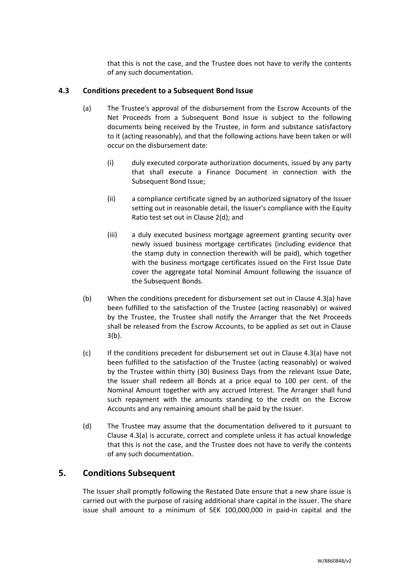that this is not the case, and the Trustee does not have to verify the contents of any such documentation.

## <span id="page-13-2"></span><span id="page-13-1"></span>**4.3 Conditions precedent to a Subsequent Bond Issue**

- (a) The Trustee's approval of the disbursement from the Escrow Accounts of the Net Proceeds from a Subsequent Bond Issue is subject to the following documents being received by the Trustee, in form and substance satisfactory to it (acting reasonably), and that the following actions have been taken or will occur on the disbursement date:
	- (i) duly executed corporate authorization documents, issued by any party that shall execute a Finance Document in connection with the Subsequent Bond Issue;
	- (ii) a compliance certificate signed by an authorized signatory of the Issuer setting out in reasonable detail, the Issuer's compliance with the Equity Ratio test set out in Clause [2\(d\);](#page-10-2) and
	- (iii) a duly executed business mortgage agreement granting security over newly issued business mortgage certificates (including evidence that the stamp duty in connection therewith will be paid), which together with the business mortgage certificates issued on the First Issue Date cover the aggregate total Nominal Amount following the issuance of the Subsequent Bonds.
- (b) When the conditions precedent for disbursement set out in Clause [4.3\(a\)](#page-13-2) have been fulfilled to the satisfaction of the Trustee (acting reasonably) or waived by the Trustee, the Trustee shall notify the Arranger that the Net Proceeds shall be released from the Escrow Accounts, to be applied as set out in Clause [3\(b\).](#page-11-2)
- (c) If the conditions precedent for disbursement set out in Clause [4.3\(a\)](#page-13-2) have not been fulfilled to the satisfaction of the Trustee (acting reasonably) or waived by the Trustee within thirty (30) Business Days from the relevant Issue Date, the Issuer shall redeem all Bonds at a price equal to 100 per cent. of the Nominal Amount together with any accrued Interest. The Arranger shall fund such repayment with the amounts standing to the credit on the Escrow Accounts and any remaining amount shall be paid by the Issuer.
- (d) The Trustee may assume that the documentation delivered to it pursuant to Clause [4.3\(a\)](#page-13-2) is accurate, correct and complete unless it has actual knowledge that this is not the case, and the Trustee does not have to verify the contents of any such documentation.

# <span id="page-13-0"></span>**5. Conditions Subsequent**

The Issuer shall promptly following the Restated Date ensure that a new share issue is carried out with the purpose of raising additional share capital in the Issuer. The share issue shall amount to a minimum of SEK 100,000,000 in paid-in capital and the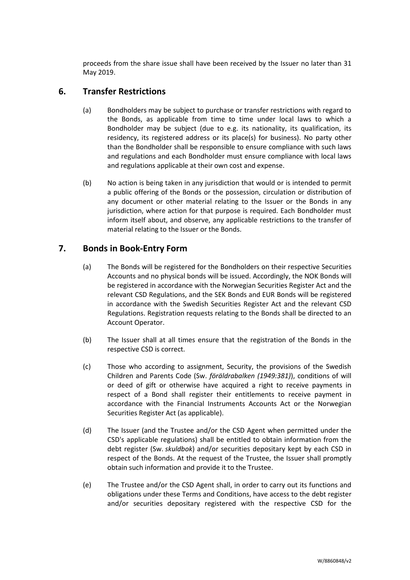proceeds from the share issue shall have been received by the Issuer no later than 31 May 2019.

# <span id="page-14-0"></span>**6. Transfer Restrictions**

- (a) Bondholders may be subject to purchase or transfer restrictions with regard to the Bonds, as applicable from time to time under local laws to which a Bondholder may be subject (due to e.g. its nationality, its qualification, its residency, its registered address or its place(s) for business). No party other than the Bondholder shall be responsible to ensure compliance with such laws and regulations and each Bondholder must ensure compliance with local laws and regulations applicable at their own cost and expense.
- <span id="page-14-3"></span>(b) No action is being taken in any jurisdiction that would or is intended to permit a public offering of the Bonds or the possession, circulation or distribution of any document or other material relating to the Issuer or the Bonds in any jurisdiction, where action for that purpose is required. Each Bondholder must inform itself about, and observe, any applicable restrictions to the transfer of material relating to the Issuer or the Bonds.

# <span id="page-14-1"></span>**7. Bonds in Book-Entry Form**

- (a) The Bonds will be registered for the Bondholders on their respective Securities Accounts and no physical bonds will be issued. Accordingly, the NOK Bonds will be registered in accordance with the Norwegian Securities Register Act and the relevant CSD Regulations, and the SEK Bonds and EUR Bonds will be registered in accordance with the Swedish Securities Register Act and the relevant CSD Regulations. Registration requests relating to the Bonds shall be directed to an Account Operator.
- (b) The Issuer shall at all times ensure that the registration of the Bonds in the respective CSD is correct.
- (c) Those who according to assignment, Security, the provisions of the Swedish Children and Parents Code (Sw. *föräldrabalken (1949:381)*), conditions of will or deed of gift or otherwise have acquired a right to receive payments in respect of a Bond shall register their entitlements to receive payment in accordance with the Financial Instruments Accounts Act or the Norwegian Securities Register Act (as applicable).
- (d) The Issuer (and the Trustee and/or the CSD Agent when permitted under the CSD's applicable regulations) shall be entitled to obtain information from the debt register (Sw. *skuldbok*) and/or securities depositary kept by each CSD in respect of the Bonds. At the request of the Trustee, the Issuer shall promptly obtain such information and provide it to the Trustee.
- <span id="page-14-2"></span>(e) The Trustee and/or the CSD Agent shall, in order to carry out its functions and obligations under these Terms and Conditions, have access to the debt register and/or securities depositary registered with the respective CSD for the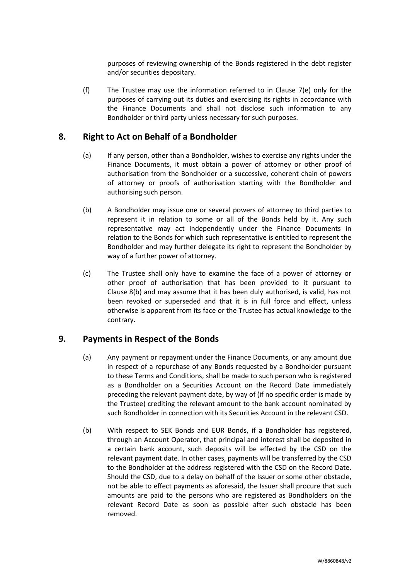purposes of reviewing ownership of the Bonds registered in the debt register and/or securities depositary.

(f) The Trustee may use the information referred to in Clause [7\(e\)](#page-14-2) only for the purposes of carrying out its duties and exercising its rights in accordance with the Finance Documents and shall not disclose such information to any Bondholder or third party unless necessary for such purposes.

# <span id="page-15-0"></span>**8. Right to Act on Behalf of a Bondholder**

- (a) If any person, other than a Bondholder, wishes to exercise any rights under the Finance Documents, it must obtain a power of attorney or other proof of authorisation from the Bondholder or a successive, coherent chain of powers of attorney or proofs of authorisation starting with the Bondholder and authorising such person.
- <span id="page-15-2"></span>(b) A Bondholder may issue one or several powers of attorney to third parties to represent it in relation to some or all of the Bonds held by it. Any such representative may act independently under the Finance Documents in relation to the Bonds for which such representative is entitled to represent the Bondholder and may further delegate its right to represent the Bondholder by way of a further power of attorney.
- (c) The Trustee shall only have to examine the face of a power of attorney or other proof of authorisation that has been provided to it pursuant to Clause [8\(b\)](#page-15-2) and may assume that it has been duly authorised, is valid, has not been revoked or superseded and that it is in full force and effect, unless otherwise is apparent from its face or the Trustee has actual knowledge to the contrary.

# <span id="page-15-1"></span>**9. Payments in Respect of the Bonds**

- (a) Any payment or repayment under the Finance Documents, or any amount due in respect of a repurchase of any Bonds requested by a Bondholder pursuant to these Terms and Conditions, shall be made to such person who is registered as a Bondholder on a Securities Account on the Record Date immediately preceding the relevant payment date, by way of (if no specific order is made by the Trustee) crediting the relevant amount to the bank account nominated by such Bondholder in connection with its Securities Account in the relevant CSD.
- (b) With respect to SEK Bonds and EUR Bonds, if a Bondholder has registered, through an Account Operator, that principal and interest shall be deposited in a certain bank account, such deposits will be effected by the CSD on the relevant payment date. In other cases, payments will be transferred by the CSD to the Bondholder at the address registered with the CSD on the Record Date. Should the CSD, due to a delay on behalf of the Issuer or some other obstacle, not be able to effect payments as aforesaid, the Issuer shall procure that such amounts are paid to the persons who are registered as Bondholders on the relevant Record Date as soon as possible after such obstacle has been removed.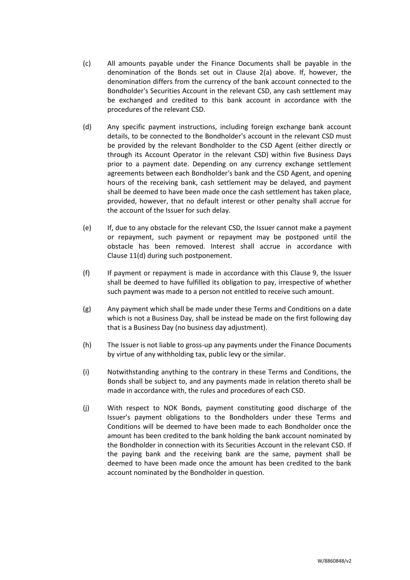- (c) All amounts payable under the Finance Documents shall be payable in the denomination of the Bonds set out in Clause [2\(a\)](#page-10-3) above. If, however, the denomination differs from the currency of the bank account connected to the Bondholder's Securities Account in the relevant CSD, any cash settlement may be exchanged and credited to this bank account in accordance with the procedures of the relevant CSD.
- (d) Any specific payment instructions, including foreign exchange bank account details, to be connected to the Bondholder's account in the relevant CSD must be provided by the relevant Bondholder to the CSD Agent (either directly or through its Account Operator in the relevant CSD) within five Business Days prior to a payment date. Depending on any currency exchange settlement agreements between each Bondholder's bank and the CSD Agent, and opening hours of the receiving bank, cash settlement may be delayed, and payment shall be deemed to have been made once the cash settlement has taken place, provided, however, that no default interest or other penalty shall accrue for the account of the Issuer for such delay.
- (e) If, due to any obstacle for the relevant CSD, the Issuer cannot make a payment or repayment, such payment or repayment may be postponed until the obstacle has been removed. Interest shall accrue in accordance with Clause [11\(d\)](#page-17-4) during such postponement.
- (f) If payment or repayment is made in accordance with this Clause [9,](#page-15-1) the Issuer shall be deemed to have fulfilled its obligation to pay, irrespective of whether such payment was made to a person not entitled to receive such amount.
- (g) Any payment which shall be made under these Terms and Conditions on a date which is not a Business Day, shall be instead be made on the first following day that is a Business Day (no business day adjustment).
- (h) The Issuer is not liable to gross-up any payments under the Finance Documents by virtue of any withholding tax, public levy or the similar.
- (i) Notwithstanding anything to the contrary in these Terms and Conditions, the Bonds shall be subject to, and any payments made in relation thereto shall be made in accordance with, the rules and procedures of each CSD.
- (j) With respect to NOK Bonds, payment constituting good discharge of the Issuer's payment obligations to the Bondholders under these Terms and Conditions will be deemed to have been made to each Bondholder once the amount has been credited to the bank holding the bank account nominated by the Bondholder in connection with its Securities Account in the relevant CSD. If the paying bank and the receiving bank are the same, payment shall be deemed to have been made once the amount has been credited to the bank account nominated by the Bondholder in question.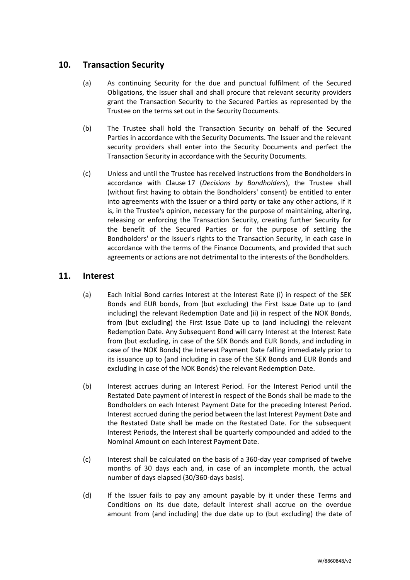# <span id="page-17-0"></span>**10. Transaction Security**

- (a) As continuing Security for the due and punctual fulfilment of the Secured Obligations, the Issuer shall and shall procure that relevant security providers grant the Transaction Security to the Secured Parties as represented by the Trustee on the terms set out in the Security Documents.
- (b) The Trustee shall hold the Transaction Security on behalf of the Secured Parties in accordance with the Security Documents. The Issuer and the relevant security providers shall enter into the Security Documents and perfect the Transaction Security in accordance with the Security Documents.
- (c) Unless and until the Trustee has received instructions from the Bondholders in accordance with Clause [17](#page-27-0) (*[Decisions by Bondholders](#page-27-0)*), the Trustee shall (without first having to obtain the Bondholders' consent) be entitled to enter into agreements with the Issuer or a third party or take any other actions, if it is, in the Trustee's opinion, necessary for the purpose of maintaining, altering, releasing or enforcing the Transaction Security, creating further Security for the benefit of the Secured Parties or for the purpose of settling the Bondholders' or the Issuer's rights to the Transaction Security, in each case in accordance with the terms of the Finance Documents, and provided that such agreements or actions are not detrimental to the interests of the Bondholders.

# <span id="page-17-2"></span><span id="page-17-1"></span>**11. Interest**

- (a) Each Initial Bond carries Interest at the Interest Rate (i) in respect of the SEK Bonds and EUR bonds, from (but excluding) the First Issue Date up to (and including) the relevant Redemption Date and (ii) in respect of the NOK Bonds, from (but excluding) the First Issue Date up to (and including) the relevant Redemption Date. Any Subsequent Bond will carry Interest at the Interest Rate from (but excluding, in case of the SEK Bonds and EUR Bonds, and including in case of the NOK Bonds) the Interest Payment Date falling immediately prior to its issuance up to (and including in case of the SEK Bonds and EUR Bonds and excluding in case of the NOK Bonds) the relevant Redemption Date.
- <span id="page-17-3"></span>(b) Interest accrues during an Interest Period. For the Interest Period until the Restated Date payment of Interest in respect of the Bonds shall be made to the Bondholders on each Interest Payment Date for the preceding Interest Period. Interest accrued during the period between the last Interest Payment Date and the Restated Date shall be made on the Restated Date. For the subsequent Interest Periods, the Interest shall be quarterly compounded and added to the Nominal Amount on each Interest Payment Date.
- (c) Interest shall be calculated on the basis of a 360-day year comprised of twelve months of 30 days each and, in case of an incomplete month, the actual number of days elapsed (30/360-days basis).
- <span id="page-17-4"></span>(d) If the Issuer fails to pay any amount payable by it under these Terms and Conditions on its due date, default interest shall accrue on the overdue amount from (and including) the due date up to (but excluding) the date of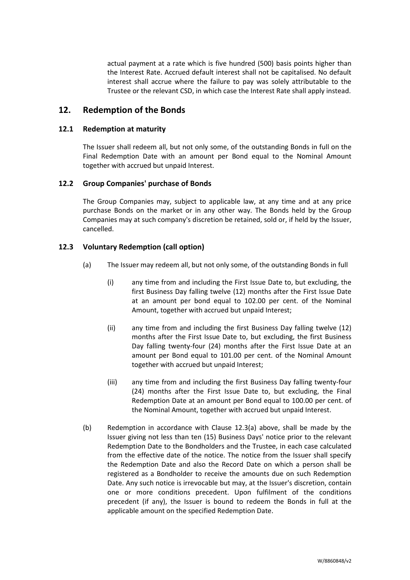actual payment at a rate which is five hundred (500) basis points higher than the Interest Rate. Accrued default interest shall not be capitalised. No default interest shall accrue where the failure to pay was solely attributable to the Trustee or the relevant CSD, in which case the Interest Rate shall apply instead.

# <span id="page-18-0"></span>**12. Redemption of the Bonds**

## **12.1 Redemption at maturity**

The Issuer shall redeem all, but not only some, of the outstanding Bonds in full on the Final Redemption Date with an amount per Bond equal to the Nominal Amount together with accrued but unpaid Interest.

## **12.2 Group Companies' purchase of Bonds**

The Group Companies may, subject to applicable law, at any time and at any price purchase Bonds on the market or in any other way. The Bonds held by the Group Companies may at such company's discretion be retained, sold or, if held by the Issuer, cancelled.

## <span id="page-18-1"></span>**12.3 Voluntary Redemption (call option)**

- (a) The Issuer may redeem all, but not only some, of the outstanding Bonds in full
	- (i) any time from and including the First Issue Date to, but excluding, the first Business Day falling twelve (12) months after the First Issue Date at an amount per bond equal to 102.00 per cent. of the Nominal Amount, together with accrued but unpaid Interest;
	- (ii) any time from and including the first Business Day falling twelve (12) months after the First Issue Date to, but excluding, the first Business Day falling twenty-four (24) months after the First Issue Date at an amount per Bond equal to 101.00 per cent. of the Nominal Amount together with accrued but unpaid Interest;
	- (iii) any time from and including the first Business Day falling twenty-four (24) months after the First Issue Date to, but excluding, the Final Redemption Date at an amount per Bond equal to 100.00 per cent. of the Nominal Amount, together with accrued but unpaid Interest.
- (b) Redemption in accordance with Clause [12.3\(a\)](#page-18-1) above, shall be made by the Issuer giving not less than ten (15) Business Days' notice prior to the relevant Redemption Date to the Bondholders and the Trustee, in each case calculated from the effective date of the notice. The notice from the Issuer shall specify the Redemption Date and also the Record Date on which a person shall be registered as a Bondholder to receive the amounts due on such Redemption Date. Any such notice is irrevocable but may, at the Issuer's discretion, contain one or more conditions precedent. Upon fulfilment of the conditions precedent (if any), the Issuer is bound to redeem the Bonds in full at the applicable amount on the specified Redemption Date.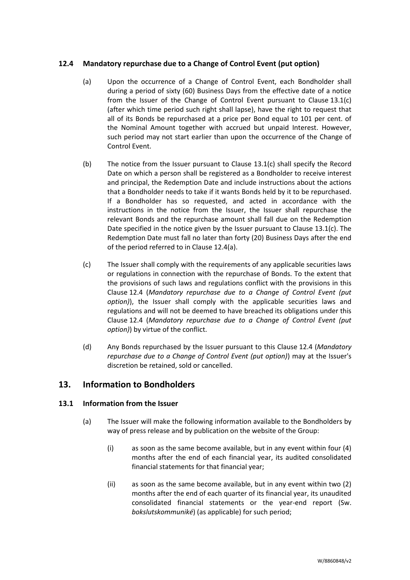# <span id="page-19-2"></span><span id="page-19-1"></span>**12.4 Mandatory repurchase due to a Change of Control Event (put option)**

- (a) Upon the occurrence of a Change of Control Event, each Bondholder shall during a period of sixty (60) Business Days from the effective date of a notice from the Issuer of the Change of Control Event pursuant to Clause [13.1\(c\)](#page-20-0) (after which time period such right shall lapse), have the right to request that all of its Bonds be repurchased at a price per Bond equal to 101 per cent. of the Nominal Amount together with accrued but unpaid Interest. However, such period may not start earlier than upon the occurrence of the Change of Control Event.
- (b) The notice from the Issuer pursuant to Clause [13.1\(c\)](#page-20-0) shall specify the Record Date on which a person shall be registered as a Bondholder to receive interest and principal, the Redemption Date and include instructions about the actions that a Bondholder needs to take if it wants Bonds held by it to be repurchased. If a Bondholder has so requested, and acted in accordance with the instructions in the notice from the Issuer, the Issuer shall repurchase the relevant Bonds and the repurchase amount shall fall due on the Redemption Date specified in the notice given by the Issuer pursuant to Clause  $13.1(c)$ . The Redemption Date must fall no later than forty (20) Business Days after the end of the period referred to in Clause [12.4\(a\).](#page-19-1)
- (c) The Issuer shall comply with the requirements of any applicable securities laws or regulations in connection with the repurchase of Bonds. To the extent that the provisions of such laws and regulations conflict with the provisions in this Clause [12.4](#page-19-2) (*[Mandatory repurchase due to a Change of Control Event \(put](#page-19-2)  [option\)](#page-19-2)*), the Issuer shall comply with the applicable securities laws and regulations and will not be deemed to have breached its obligations under this Clause [12.4](#page-19-2) (*[Mandatory repurchase due to a Change of Control Event \(put](#page-19-2)  [option\)](#page-19-2)*) by virtue of the conflict.
- (d) Any Bonds repurchased by the Issuer pursuant to this Clause [12.4](#page-19-2) (*[Mandatory](#page-19-2)  [repurchase due to a Change of Control Event \(put option\)](#page-19-2)*) may at the Issuer's discretion be retained, sold or cancelled.

# <span id="page-19-0"></span>**13. Information to Bondholders**

## <span id="page-19-4"></span><span id="page-19-3"></span>**13.1 Information from the Issuer**

- (a) The Issuer will make the following information available to the Bondholders by way of press release and by publication on the website of the Group:
	- (i) as soon as the same become available, but in any event within four (4) months after the end of each financial year, its audited consolidated financial statements for that financial year;
	- (ii) as soon as the same become available, but in any event within two (2) months after the end of each quarter of its financial year, its unaudited consolidated financial statements or the year-end report (Sw. *bokslutskommuniké*) (as applicable) for such period;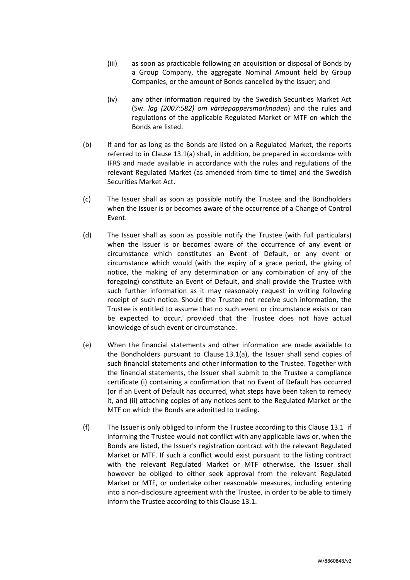- (iii) as soon as practicable following an acquisition or disposal of Bonds by a Group Company, the aggregate Nominal Amount held by Group Companies, or the amount of Bonds cancelled by the Issuer; and
- (iv) any other information required by the Swedish Securities Market Act (Sw. *lag (2007:582) om värdepappersmarknaden*) and the rules and regulations of the applicable Regulated Market or MTF on which the Bonds are listed.
- (b) If and for as long as the Bonds are listed on a Regulated Market, the reports referred to in Clause [13.1\(a\)](#page-19-3) shall, in addition, be prepared in accordance with IFRS and made available in accordance with the rules and regulations of the relevant Regulated Market (as amended from time to time) and the Swedish Securities Market Act.
- <span id="page-20-0"></span>(c) The Issuer shall as soon as possible notify the Trustee and the Bondholders when the Issuer is or becomes aware of the occurrence of a Change of Control Event.
- <span id="page-20-1"></span>(d) The Issuer shall as soon as possible notify the Trustee (with full particulars) when the Issuer is or becomes aware of the occurrence of any event or circumstance which constitutes an Event of Default, or any event or circumstance which would (with the expiry of a grace period, the giving of notice, the making of any determination or any combination of any of the foregoing) constitute an Event of Default, and shall provide the Trustee with such further information as it may reasonably request in writing following receipt of such notice. Should the Trustee not receive such information, the Trustee is entitled to assume that no such event or circumstance exists or can be expected to occur, provided that the Trustee does not have actual knowledge of such event or circumstance.
- (e) When the financial statements and other information are made available to the Bondholders pursuant to Clause [13.1\(a\),](#page-19-4) the Issuer shall send copies of such financial statements and other information to the Trustee. Together with the financial statements, the Issuer shall submit to the Trustee a compliance certificate (i) containing a confirmation that no Event of Default has occurred (or if an Event of Default has occurred, what steps have been taken to remedy it, and (ii) attaching copies of any notices sent to the Regulated Market or the MTF on which the Bonds are admitted to trading**.**
- (f) The Issuer is only obliged to inform the Trustee according to this Clause [13.1](#page-19-4) if informing the Trustee would not conflict with any applicable laws or, when the Bonds are listed, the Issuer's registration contract with the relevant Regulated Market or MTF. If such a conflict would exist pursuant to the listing contract with the relevant Regulated Market or MTF otherwise, the Issuer shall however be obliged to either seek approval from the relevant Regulated Market or MTF, or undertake other reasonable measures, including entering into a non-disclosure agreement with the Trustee, in order to be able to timely inform the Trustee according to this Claus[e 13.1.](#page-19-4)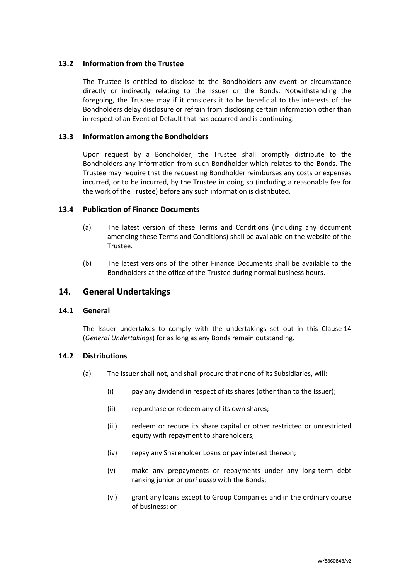## **13.2 Information from the Trustee**

The Trustee is entitled to disclose to the Bondholders any event or circumstance directly or indirectly relating to the Issuer or the Bonds. Notwithstanding the foregoing, the Trustee may if it considers it to be beneficial to the interests of the Bondholders delay disclosure or refrain from disclosing certain information other than in respect of an Event of Default that has occurred and is continuing.

## <span id="page-21-1"></span>**13.3 Information among the Bondholders**

Upon request by a Bondholder, the Trustee shall promptly distribute to the Bondholders any information from such Bondholder which relates to the Bonds. The Trustee may require that the requesting Bondholder reimburses any costs or expenses incurred, or to be incurred, by the Trustee in doing so (including a reasonable fee for the work of the Trustee) before any such information is distributed.

### **13.4 Publication of Finance Documents**

- (a) The latest version of these Terms and Conditions (including any document amending these Terms and Conditions) shall be available on the website of the Trustee.
- (b) The latest versions of the other Finance Documents shall be available to the Bondholders at the office of the Trustee during normal business hours.

# <span id="page-21-0"></span>**14. General Undertakings**

### **14.1 General**

The Issuer undertakes to comply with the undertakings set out in this Clause [14](#page-21-0) (*[General Undertakings](#page-21-0)*) for as long as any Bonds remain outstanding.

### **14.2 Distributions**

- (a) The Issuer shall not, and shall procure that none of its Subsidiaries, will:
	- (i) pay any dividend in respect of its shares (other than to the Issuer);
	- (ii) repurchase or redeem any of its own shares;
	- (iii) redeem or reduce its share capital or other restricted or unrestricted equity with repayment to shareholders;
	- (iv) repay any Shareholder Loans or pay interest thereon;
	- (v) make any prepayments or repayments under any long-term debt ranking junior or *pari passu* with the Bonds;
	- (vi) grant any loans except to Group Companies and in the ordinary course of business; or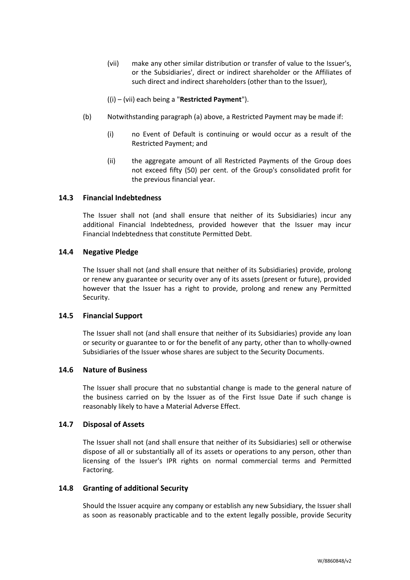(vii) make any other similar distribution or transfer of value to the Issuer's, or the Subsidiaries', direct or indirect shareholder or the Affiliates of such direct and indirect shareholders (other than to the Issuer),

((i) – (vii) each being a "**Restricted Payment**").

- (b) Notwithstanding paragraph (a) above, a Restricted Payment may be made if:
	- (i) no Event of Default is continuing or would occur as a result of the Restricted Payment; and
	- (ii) the aggregate amount of all Restricted Payments of the Group does not exceed fifty (50) per cent. of the Group's consolidated profit for the previous financial year.

### **14.3 Financial Indebtedness**

The Issuer shall not (and shall ensure that neither of its Subsidiaries) incur any additional Financial Indebtedness, provided however that the Issuer may incur Financial Indebtedness that constitute Permitted Debt.

#### **14.4 Negative Pledge**

The Issuer shall not (and shall ensure that neither of its Subsidiaries) provide, prolong or renew any guarantee or security over any of its assets (present or future), provided however that the Issuer has a right to provide, prolong and renew any Permitted Security.

#### **14.5 Financial Support**

The Issuer shall not (and shall ensure that neither of its Subsidiaries) provide any loan or security or guarantee to or for the benefit of any party, other than to wholly-owned Subsidiaries of the Issuer whose shares are subject to the Security Documents.

#### **14.6 Nature of Business**

The Issuer shall procure that no substantial change is made to the general nature of the business carried on by the Issuer as of the First Issue Date if such change is reasonably likely to have a Material Adverse Effect.

## **14.7 Disposal of Assets**

The Issuer shall not (and shall ensure that neither of its Subsidiaries) sell or otherwise dispose of all or substantially all of its assets or operations to any person, other than licensing of the Issuer's IPR rights on normal commercial terms and Permitted Factoring.

## <span id="page-22-0"></span>**14.8 Granting of additional Security**

Should the Issuer acquire any company or establish any new Subsidiary, the Issuer shall as soon as reasonably practicable and to the extent legally possible, provide Security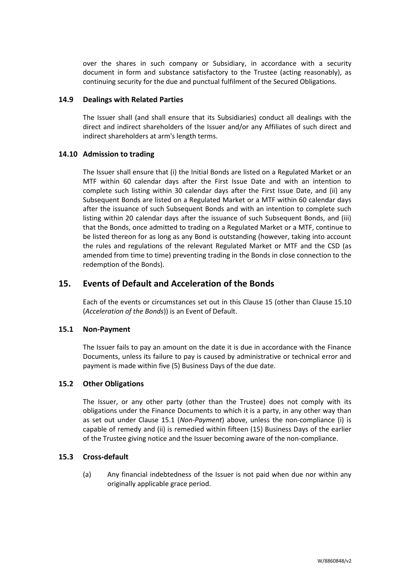over the shares in such company or Subsidiary, in accordance with a security document in form and substance satisfactory to the Trustee (acting reasonably), as continuing security for the due and punctual fulfilment of the Secured Obligations.

## **14.9 Dealings with Related Parties**

The Issuer shall (and shall ensure that its Subsidiaries) conduct all dealings with the direct and indirect shareholders of the Issuer and/or any Affiliates of such direct and indirect shareholders at arm's length terms.

## **14.10 Admission to trading**

The Issuer shall ensure that (i) the Initial Bonds are listed on a Regulated Market or an MTF within 60 calendar days after the First Issue Date and with an intention to complete such listing within 30 calendar days after the First Issue Date, and (ii) any Subsequent Bonds are listed on a Regulated Market or a MTF within 60 calendar days after the issuance of such Subsequent Bonds and with an intention to complete such listing within 20 calendar days after the issuance of such Subsequent Bonds, and (iii) that the Bonds, once admitted to trading on a Regulated Market or a MTF, continue to be listed thereon for as long as any Bond is outstanding (however, taking into account the rules and regulations of the relevant Regulated Market or MTF and the CSD (as amended from time to time) preventing trading in the Bonds in close connection to the redemption of the Bonds).

# <span id="page-23-0"></span>**15. Events of Default and Acceleration of the Bonds**

Each of the events or circumstances set out in this Clause [15](#page-23-0) (other than Clause [15.10](#page-25-1) (*[Acceleration of the Bonds](#page-25-1)*)) is an Event of Default.

### <span id="page-23-1"></span>**15.1 Non-Payment**

The Issuer fails to pay an amount on the date it is due in accordance with the Finance Documents, unless its failure to pay is caused by administrative or technical error and payment is made within five (5) Business Days of the due date.

### **15.2 Other Obligations**

The Issuer, or any other party (other than the Trustee) does not comply with its obligations under the Finance Documents to which it is a party, in any other way than as set out under Clause [15.1](#page-23-1) (*[Non-Payment](#page-23-1)*) above, unless the non-compliance (i) is capable of remedy and (ii) is remedied within fifteen (15) Business Days of the earlier of the Trustee giving notice and the Issuer becoming aware of the non-compliance.

### <span id="page-23-2"></span>**15.3 Cross-default**

(a) Any financial indebtedness of the Issuer is not paid when due nor within any originally applicable grace period.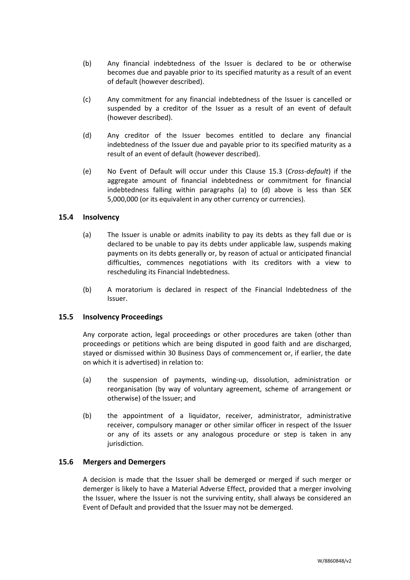- (b) Any financial indebtedness of the Issuer is declared to be or otherwise becomes due and payable prior to its specified maturity as a result of an event of default (however described).
- (c) Any commitment for any financial indebtedness of the Issuer is cancelled or suspended by a creditor of the Issuer as a result of an event of default (however described).
- (d) Any creditor of the Issuer becomes entitled to declare any financial indebtedness of the Issuer due and payable prior to its specified maturity as a result of an event of default (however described).
- (e) No Event of Default will occur under this Clause [15.3](#page-23-2) (*[Cross-default](#page-23-2)*) if the aggregate amount of financial indebtedness or commitment for financial indebtedness falling within paragraphs (a) to (d) above is less than SEK 5,000,000 (or its equivalent in any other currency or currencies).

## **15.4 Insolvency**

- (a) The Issuer is unable or admits inability to pay its debts as they fall due or is declared to be unable to pay its debts under applicable law, suspends making payments on its debts generally or, by reason of actual or anticipated financial difficulties, commences negotiations with its creditors with a view to rescheduling its Financial Indebtedness.
- (b) A moratorium is declared in respect of the Financial Indebtedness of the Issuer.

### **15.5 Insolvency Proceedings**

Any corporate action, legal proceedings or other procedures are taken (other than proceedings or petitions which are being disputed in good faith and are discharged, stayed or dismissed within 30 Business Days of commencement or, if earlier, the date on which it is advertised) in relation to:

- (a) the suspension of payments, winding-up, dissolution, administration or reorganisation (by way of voluntary agreement, scheme of arrangement or otherwise) of the Issuer; and
- (b) the appointment of a liquidator, receiver, administrator, administrative receiver, compulsory manager or other similar officer in respect of the Issuer or any of its assets or any analogous procedure or step is taken in any jurisdiction.

### <span id="page-24-0"></span>**15.6 Mergers and Demergers**

A decision is made that the Issuer shall be demerged or merged if such merger or demerger is likely to have a Material Adverse Effect, provided that a merger involving the Issuer, where the Issuer is not the surviving entity, shall always be considered an Event of Default and provided that the Issuer may not be demerged.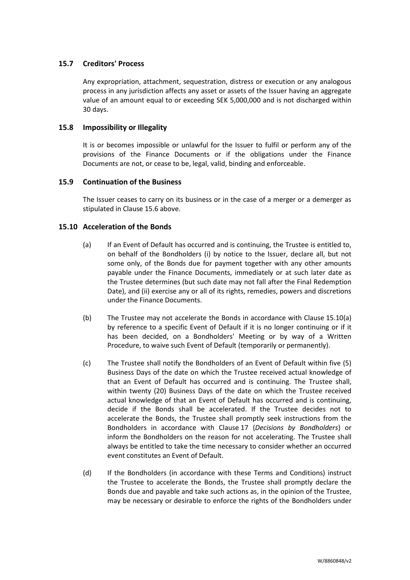## **15.7 Creditors' Process**

Any expropriation, attachment, sequestration, distress or execution or any analogous process in any jurisdiction affects any asset or assets of the Issuer having an aggregate value of an amount equal to or exceeding SEK 5,000,000 and is not discharged within 30 days.

## **15.8 Impossibility or Illegality**

It is or becomes impossible or unlawful for the Issuer to fulfil or perform any of the provisions of the Finance Documents or if the obligations under the Finance Documents are not, or cease to be, legal, valid, binding and enforceable.

### <span id="page-25-0"></span>**15.9 Continuation of the Business**

The Issuer ceases to carry on its business or in the case of a merger or a demerger as stipulated in Clause [15.6](#page-24-0) above.

## <span id="page-25-1"></span>**15.10 Acceleration of the Bonds**

- (a) If an Event of Default has occurred and is continuing, the Trustee is entitled to, on behalf of the Bondholders (i) by notice to the Issuer, declare all, but not some only, of the Bonds due for payment together with any other amounts payable under the Finance Documents, immediately or at such later date as the Trustee determines (but such date may not fall after the Final Redemption Date), and (ii) exercise any or all of its rights, remedies, powers and discretions under the Finance Documents.
- (b) The Trustee may not accelerate the Bonds in accordance with Clause [15.10\(a\)](#page-25-1) by reference to a specific Event of Default if it is no longer continuing or if it has been decided, on a Bondholders' Meeting or by way of a Written Procedure, to waive such Event of Default (temporarily or permanently).
- <span id="page-25-2"></span>(c) The Trustee shall notify the Bondholders of an Event of Default within five (5) Business Days of the date on which the Trustee received actual knowledge of that an Event of Default has occurred and is continuing. The Trustee shall, within twenty (20) Business Days of the date on which the Trustee received actual knowledge of that an Event of Default has occurred and is continuing, decide if the Bonds shall be accelerated. If the Trustee decides not to accelerate the Bonds, the Trustee shall promptly seek instructions from the Bondholders in accordance with Clause [17](#page-27-0) (*[Decisions by Bondholders](#page-27-0)*) or inform the Bondholders on the reason for not accelerating. The Trustee shall always be entitled to take the time necessary to consider whether an occurred event constitutes an Event of Default.
- (d) If the Bondholders (in accordance with these Terms and Conditions) instruct the Trustee to accelerate the Bonds, the Trustee shall promptly declare the Bonds due and payable and take such actions as, in the opinion of the Trustee, may be necessary or desirable to enforce the rights of the Bondholders under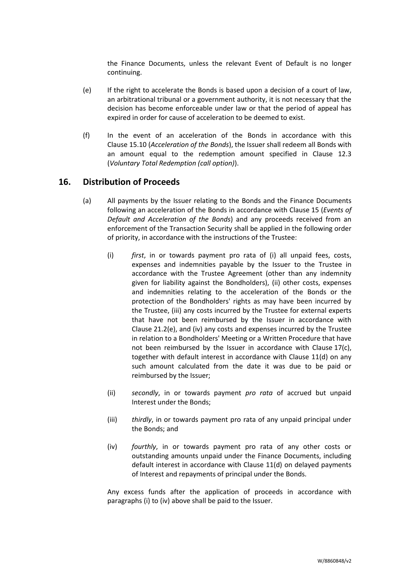the Finance Documents, unless the relevant Event of Default is no longer continuing.

- (e) If the right to accelerate the Bonds is based upon a decision of a court of law, an arbitrational tribunal or a government authority, it is not necessary that the decision has become enforceable under law or that the period of appeal has expired in order for cause of acceleration to be deemed to exist.
- (f) In the event of an acceleration of the Bonds in accordance with this Clause [15.10](#page-25-1) (*[Acceleration of the Bonds](#page-25-1)*), the Issuer shall redeem all Bonds with an amount equal to the redemption amount specified in Clause [12.3](#page-18-1) (*Voluntary Total Redemption (call option)*).

# <span id="page-26-0"></span>**16. Distribution of Proceeds**

- (a) All payments by the Issuer relating to the Bonds and the Finance Documents following an acceleration of the Bonds in accordance with Clause [15](#page-23-0) (*[Events of](#page-23-0)  [Default and Acceleration of the Bonds](#page-23-0)*) and any proceeds received from an enforcement of the Transaction Security shall be applied in the following order of priority, in accordance with the instructions of the Trustee:
	- (i) *first*, in or towards payment pro rata of (i) all unpaid fees, costs, expenses and indemnities payable by the Issuer to the Trustee in accordance with the Trustee Agreement (other than any indemnity given for liability against the Bondholders), (ii) other costs, expenses and indemnities relating to the acceleration of the Bonds or the protection of the Bondholders' rights as may have been incurred by the Trustee, (iii) any costs incurred by the Trustee for external experts that have not been reimbursed by the Issuer in accordance with Clause [21.2\(e\),](#page-33-0) and (iv) any costs and expenses incurred by the Trustee in relation to a Bondholders' Meeting or a Written Procedure that have not been reimbursed by the Issuer in accordance with Clause [17\(c\),](#page-27-1) together with default interest in accordance with Clause [11\(d\)](#page-17-4) on any such amount calculated from the date it was due to be paid or reimbursed by the Issuer;
	- (ii) *secondly*, in or towards payment *pro rata* of accrued but unpaid Interest under the Bonds;
	- (iii) *thirdly*, in or towards payment pro rata of any unpaid principal under the Bonds; and
	- (iv) *fourthly*, in or towards payment pro rata of any other costs or outstanding amounts unpaid under the Finance Documents, including default interest in accordance with Clause [11\(d\)](#page-17-4) on delayed payments of Interest and repayments of principal under the Bonds.

Any excess funds after the application of proceeds in accordance with paragraphs (i) to (iv) above shall be paid to the Issuer.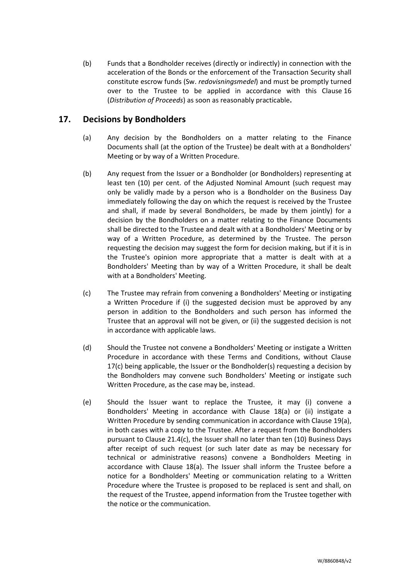(b) Funds that a Bondholder receives (directly or indirectly) in connection with the acceleration of the Bonds or the enforcement of the Transaction Security shall constitute escrow funds (Sw. *redovisningsmedel*) and must be promptly turned over to the Trustee to be applied in accordance with this Clause [16](#page-26-0) (*[Distribution of Proceeds](#page-26-0)*) as soon as reasonably practicable**.**

# <span id="page-27-0"></span>**17. Decisions by Bondholders**

- (a) Any decision by the Bondholders on a matter relating to the Finance Documents shall (at the option of the Trustee) be dealt with at a Bondholders' Meeting or by way of a Written Procedure.
- (b) Any request from the Issuer or a Bondholder (or Bondholders) representing at least ten (10) per cent. of the Adjusted Nominal Amount (such request may only be validly made by a person who is a Bondholder on the Business Day immediately following the day on which the request is received by the Trustee and shall, if made by several Bondholders, be made by them jointly) for a decision by the Bondholders on a matter relating to the Finance Documents shall be directed to the Trustee and dealt with at a Bondholders' Meeting or by way of a Written Procedure, as determined by the Trustee. The person requesting the decision may suggest the form for decision making, but if it is in the Trustee's opinion more appropriate that a matter is dealt with at a Bondholders' Meeting than by way of a Written Procedure, it shall be dealt with at a Bondholders' Meeting.
- <span id="page-27-1"></span>(c) The Trustee may refrain from convening a Bondholders' Meeting or instigating a Written Procedure if (i) the suggested decision must be approved by any person in addition to the Bondholders and such person has informed the Trustee that an approval will not be given, or (ii) the suggested decision is not in accordance with applicable laws.
- (d) Should the Trustee not convene a Bondholders' Meeting or instigate a Written Procedure in accordance with these Terms and Conditions, without Clause [17\(c\)](#page-27-0) being applicable, the Issuer or the Bondholder(s) requesting a decision by the Bondholders may convene such Bondholders' Meeting or instigate such Written Procedure, as the case may be, instead.
- (e) Should the Issuer want to replace the Trustee, it may (i) convene a Bondholders' Meeting in accordance with Clause [18\(a\)](#page-30-1) or (ii) instigate a Written Procedure by sending communication in accordance with Clause [19\(a\),](#page-31-2) in both cases with a copy to the Trustee. After a request from the Bondholders pursuant to Clause [21.4\(c\),](#page-35-0) the Issuer shall no later than ten (10) Business Days after receipt of such request (or such later date as may be necessary for technical or administrative reasons) convene a Bondholders Meeting in accordance with Clause [18\(a\).](#page-30-1) The Issuer shall inform the Trustee before a notice for a Bondholders' Meeting or communication relating to a Written Procedure where the Trustee is proposed to be replaced is sent and shall, on the request of the Trustee, append information from the Trustee together with the notice or the communication.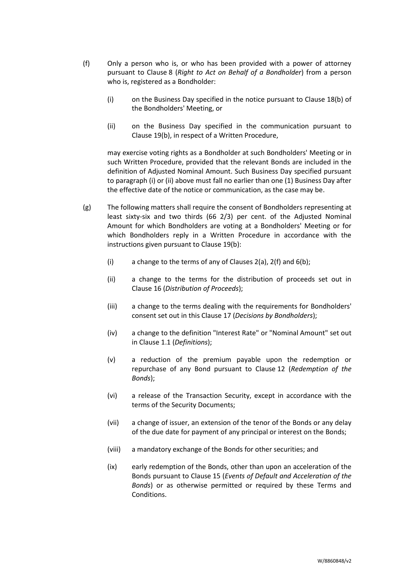- (f) Only a person who is, or who has been provided with a power of attorney pursuant to Clause [8](#page-15-0) (*[Right to Act on Behalf of a Bondholder](#page-15-0)*) from a person who is, registered as a Bondholder:
	- (i) on the Business Day specified in the notice pursuant to Claus[e 18\(b\)](#page-30-2) of the Bondholders' Meeting, or
	- (ii) on the Business Day specified in the communication pursuant to Clause [19\(b\),](#page-31-3) in respect of a Written Procedure,

may exercise voting rights as a Bondholder at such Bondholders' Meeting or in such Written Procedure, provided that the relevant Bonds are included in the definition of Adjusted Nominal Amount. Such Business Day specified pursuant to paragraph (i) or (ii) above must fall no earlier than one (1) Business Day after the effective date of the notice or communication, as the case may be.

- <span id="page-28-0"></span>(g) The following matters shall require the consent of Bondholders representing at least sixty-six and two thirds (66 2/3) per cent. of the Adjusted Nominal Amount for which Bondholders are voting at a Bondholders' Meeting or for which Bondholders reply in a Written Procedure in accordance with the instructions given pursuant to Clause [19\(b\):](#page-31-3)
	- (i) a change to the terms of any of Clauses [2\(a\),](#page-10-3) [2\(f\)](#page-11-3) and [6\(b\);](#page-14-3)
	- (ii) a change to the terms for the distribution of proceeds set out in Clause [16](#page-26-0) (*[Distribution of Proceeds](#page-26-0)*);
	- (iii) a change to the terms dealing with the requirements for Bondholders' consent set out in this Clause [17](#page-27-0) (*[Decisions by Bondholders](#page-27-0)*);
	- (iv) a change to the definition "Interest Rate" or "Nominal Amount" set out in Clause [1.1](#page-2-1) (*Definitions*);
	- (v) a reduction of the premium payable upon the redemption or repurchase of any Bond pursuant to Clause [12](#page-18-0) (*[Redemption of the](#page-18-0)  [Bonds](#page-18-0)*);
	- (vi) a release of the Transaction Security, except in accordance with the terms of the Security Documents;
	- (vii) a change of issuer, an extension of the tenor of the Bonds or any delay of the due date for payment of any principal or interest on the Bonds;
	- (viii) a mandatory exchange of the Bonds for other securities; and
	- (ix) early redemption of the Bonds, other than upon an acceleration of the Bonds pursuant to Clause [15](#page-23-0) (*[Events of Default and Acceleration of the](#page-23-0)  [Bonds](#page-23-0)*) or as otherwise permitted or required by these Terms and Conditions.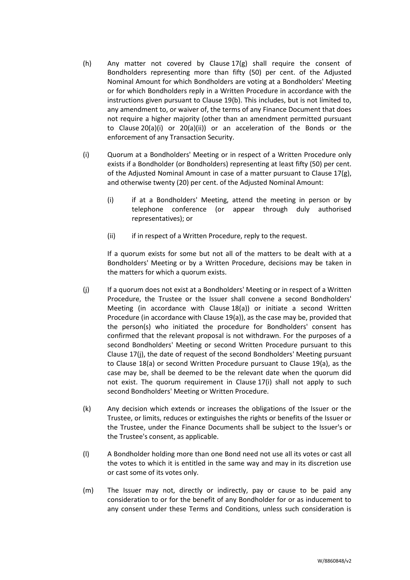- <span id="page-29-1"></span>(h) Any matter not covered by Clause  $17(g)$  shall require the consent of Bondholders representing more than fifty (50) per cent. of the Adjusted Nominal Amount for which Bondholders are voting at a Bondholders' Meeting or for which Bondholders reply in a Written Procedure in accordance with the instructions given pursuant to Clause [19\(b\).](#page-31-3) This includes, but is not limited to, any amendment to, or waiver of, the terms of any Finance Document that does not require a higher majority (other than an amendment permitted pursuant to Clause [20\(a\)\(i\)](#page-32-1) or [20\(a\)\(ii\)\)](#page-32-2) or an acceleration of the Bonds or the enforcement of any Transaction Security.
- <span id="page-29-0"></span>(i) Quorum at a Bondholders' Meeting or in respect of a Written Procedure only exists if a Bondholder (or Bondholders) representing at least fifty (50) per cent. of the Adjusted Nominal Amount in case of a matter pursuant to Clause [17\(g\),](#page-28-0) and otherwise twenty (20) per cent. of the Adjusted Nominal Amount:
	- (i) if at a Bondholders' Meeting, attend the meeting in person or by telephone conference (or appear through duly authorised representatives); or
	- (ii) if in respect of a Written Procedure, reply to the request.

If a quorum exists for some but not all of the matters to be dealt with at a Bondholders' Meeting or by a Written Procedure, decisions may be taken in the matters for which a quorum exists.

- (j) If a quorum does not exist at a Bondholders' Meeting or in respect of a Written Procedure, the Trustee or the Issuer shall convene a second Bondholders' Meeting (in accordance with Clause [18\(a\)\)](#page-30-1) or initiate a second Written Procedure (in accordance with Clause [19\(a\)\)](#page-31-2), as the case may be, provided that the person(s) who initiated the procedure for Bondholders' consent has confirmed that the relevant proposal is not withdrawn. For the purposes of a second Bondholders' Meeting or second Written Procedure pursuant to this Clause [17\(j\),](#page-27-0) the date of request of the second Bondholders' Meeting pursuant to Clause [18\(a\)](#page-30-1) or second Written Procedure pursuant to Clause [19\(a\),](#page-31-2) as the case may be, shall be deemed to be the relevant date when the quorum did not exist. The quorum requirement in Clause [17\(i\)](#page-29-0) shall not apply to such second Bondholders' Meeting or Written Procedure.
- (k) Any decision which extends or increases the obligations of the Issuer or the Trustee, or limits, reduces or extinguishes the rights or benefits of the Issuer or the Trustee, under the Finance Documents shall be subject to the Issuer's or the Trustee's consent, as applicable.
- (l) A Bondholder holding more than one Bond need not use all its votes or cast all the votes to which it is entitled in the same way and may in its discretion use or cast some of its votes only.
- (m) The Issuer may not, directly or indirectly, pay or cause to be paid any consideration to or for the benefit of any Bondholder for or as inducement to any consent under these Terms and Conditions, unless such consideration is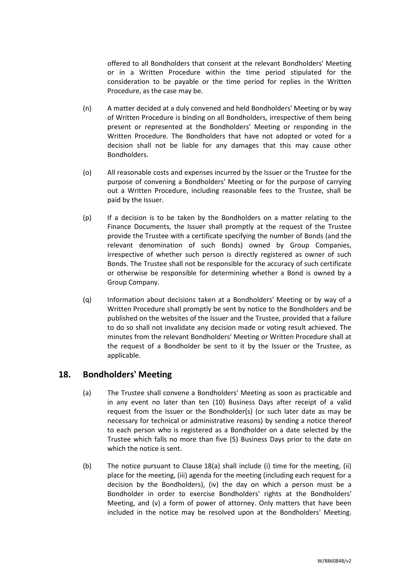offered to all Bondholders that consent at the relevant Bondholders' Meeting or in a Written Procedure within the time period stipulated for the consideration to be payable or the time period for replies in the Written Procedure, as the case may be.

- (n) A matter decided at a duly convened and held Bondholders' Meeting or by way of Written Procedure is binding on all Bondholders, irrespective of them being present or represented at the Bondholders' Meeting or responding in the Written Procedure. The Bondholders that have not adopted or voted for a decision shall not be liable for any damages that this may cause other Bondholders.
- (o) All reasonable costs and expenses incurred by the Issuer or the Trustee for the purpose of convening a Bondholders' Meeting or for the purpose of carrying out a Written Procedure, including reasonable fees to the Trustee, shall be paid by the Issuer.
- (p) If a decision is to be taken by the Bondholders on a matter relating to the Finance Documents, the Issuer shall promptly at the request of the Trustee provide the Trustee with a certificate specifying the number of Bonds (and the relevant denomination of such Bonds) owned by Group Companies, irrespective of whether such person is directly registered as owner of such Bonds. The Trustee shall not be responsible for the accuracy of such certificate or otherwise be responsible for determining whether a Bond is owned by a Group Company.
- <span id="page-30-3"></span>(q) Information about decisions taken at a Bondholders' Meeting or by way of a Written Procedure shall promptly be sent by notice to the Bondholders and be published on the websites of the Issuer and the Trustee, provided that a failure to do so shall not invalidate any decision made or voting result achieved. The minutes from the relevant Bondholders' Meeting or Written Procedure shall at the request of a Bondholder be sent to it by the Issuer or the Trustee, as applicable.

# <span id="page-30-1"></span><span id="page-30-0"></span>**18. Bondholders' Meeting**

- (a) The Trustee shall convene a Bondholders' Meeting as soon as practicable and in any event no later than ten (10) Business Days after receipt of a valid request from the Issuer or the Bondholder(s) (or such later date as may be necessary for technical or administrative reasons) by sending a notice thereof to each person who is registered as a Bondholder on a date selected by the Trustee which falls no more than five (5) Business Days prior to the date on which the notice is sent.
- <span id="page-30-2"></span>(b) The notice pursuant to Clause [18\(a\)](#page-30-1) shall include (i) time for the meeting, (ii) place for the meeting, (iii) agenda for the meeting (including each request for a decision by the Bondholders), (iv) the day on which a person must be a Bondholder in order to exercise Bondholders' rights at the Bondholders' Meeting, and (v) a form of power of attorney. Only matters that have been included in the notice may be resolved upon at the Bondholders' Meeting.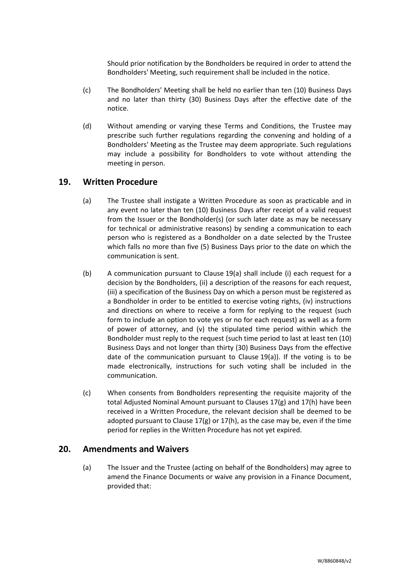Should prior notification by the Bondholders be required in order to attend the Bondholders' Meeting, such requirement shall be included in the notice.

- (c) The Bondholders' Meeting shall be held no earlier than ten (10) Business Days and no later than thirty (30) Business Days after the effective date of the notice.
- (d) Without amending or varying these Terms and Conditions, the Trustee may prescribe such further regulations regarding the convening and holding of a Bondholders' Meeting as the Trustee may deem appropriate. Such regulations may include a possibility for Bondholders to vote without attending the meeting in person.

# <span id="page-31-2"></span><span id="page-31-0"></span>**19. Written Procedure**

- (a) The Trustee shall instigate a Written Procedure as soon as practicable and in any event no later than ten (10) Business Days after receipt of a valid request from the Issuer or the Bondholder(s) (or such later date as may be necessary for technical or administrative reasons) by sending a communication to each person who is registered as a Bondholder on a date selected by the Trustee which falls no more than five (5) Business Days prior to the date on which the communication is sent.
- <span id="page-31-3"></span>(b) A communication pursuant to Clause [19\(a\)](#page-31-2) shall include (i) each request for a decision by the Bondholders, (ii) a description of the reasons for each request, (iii) a specification of the Business Day on which a person must be registered as a Bondholder in order to be entitled to exercise voting rights, (iv) instructions and directions on where to receive a form for replying to the request (such form to include an option to vote yes or no for each request) as well as a form of power of attorney, and (v) the stipulated time period within which the Bondholder must reply to the request (such time period to last at least ten (10) Business Days and not longer than thirty (30) Business Days from the effective date of the communication pursuant to Clause [19\(a\)\)](#page-31-2). If the voting is to be made electronically, instructions for such voting shall be included in the communication.
- (c) When consents from Bondholders representing the requisite majority of the total Adjusted Nominal Amount pursuant to Clauses [17\(g\)](#page-28-0) and [17\(h\)](#page-29-1) have been received in a Written Procedure, the relevant decision shall be deemed to be adopted pursuant to Clause  $17(g)$  or  $17(h)$ , as the case may be, even if the time period for replies in the Written Procedure has not yet expired.

# <span id="page-31-4"></span><span id="page-31-1"></span>**20. Amendments and Waivers**

(a) The Issuer and the Trustee (acting on behalf of the Bondholders) may agree to amend the Finance Documents or waive any provision in a Finance Document, provided that: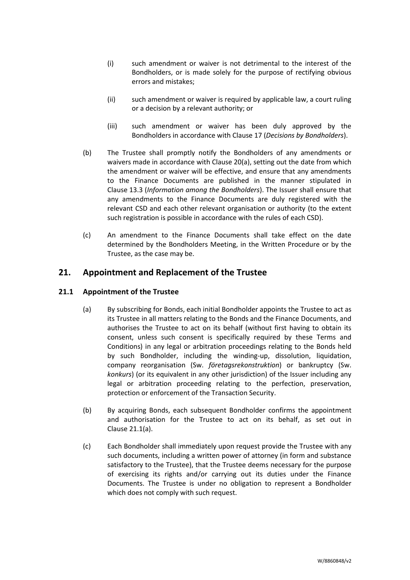- <span id="page-32-1"></span>(i) such amendment or waiver is not detrimental to the interest of the Bondholders, or is made solely for the purpose of rectifying obvious errors and mistakes;
- <span id="page-32-2"></span>(ii) such amendment or waiver is required by applicable law, a court ruling or a decision by a relevant authority; or
- (iii) such amendment or waiver has been duly approved by the Bondholders in accordance with Clause [17](#page-27-0) (*[Decisions by Bondholders](#page-27-0)*).
- <span id="page-32-5"></span>(b) The Trustee shall promptly notify the Bondholders of any amendments or waivers made in accordance with Clause [20\(a\),](#page-31-4) setting out the date from which the amendment or waiver will be effective, and ensure that any amendments to the Finance Documents are published in the manner stipulated in Clause [13.3](#page-21-1) (*Information among the Bondholders*). The Issuer shall ensure that any amendments to the Finance Documents are duly registered with the relevant CSD and each other relevant organisation or authority (to the extent such registration is possible in accordance with the rules of each CSD).
- (c) An amendment to the Finance Documents shall take effect on the date determined by the Bondholders Meeting, in the Written Procedure or by the Trustee, as the case may be.

# <span id="page-32-0"></span>**21. Appointment and Replacement of the Trustee**

## <span id="page-32-3"></span>**21.1 Appointment of the Trustee**

- (a) By subscribing for Bonds, each initial Bondholder appoints the Trustee to act as its Trustee in all matters relating to the Bonds and the Finance Documents, and authorises the Trustee to act on its behalf (without first having to obtain its consent, unless such consent is specifically required by these Terms and Conditions) in any legal or arbitration proceedings relating to the Bonds held by such Bondholder, including the winding-up, dissolution, liquidation, company reorganisation (Sw. *företagsrekonstruktion*) or bankruptcy (Sw. *konkurs*) (or its equivalent in any other jurisdiction) of the Issuer including any legal or arbitration proceeding relating to the perfection, preservation, protection or enforcement of the Transaction Security.
- (b) By acquiring Bonds, each subsequent Bondholder confirms the appointment and authorisation for the Trustee to act on its behalf, as set out in Clause [21.1\(a\).](#page-32-3)
- <span id="page-32-4"></span>(c) Each Bondholder shall immediately upon request provide the Trustee with any such documents, including a written power of attorney (in form and substance satisfactory to the Trustee), that the Trustee deems necessary for the purpose of exercising its rights and/or carrying out its duties under the Finance Documents. The Trustee is under no obligation to represent a Bondholder which does not comply with such request.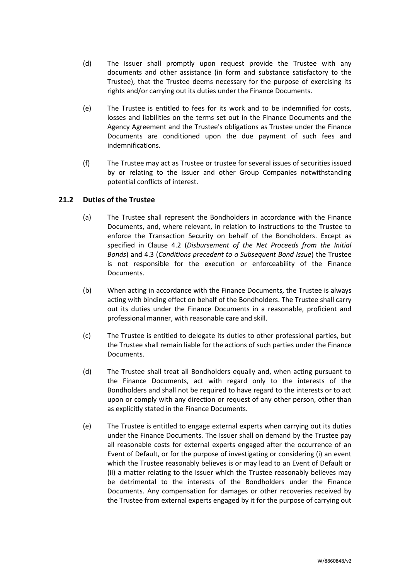- (d) The Issuer shall promptly upon request provide the Trustee with any documents and other assistance (in form and substance satisfactory to the Trustee), that the Trustee deems necessary for the purpose of exercising its rights and/or carrying out its duties under the Finance Documents.
- (e) The Trustee is entitled to fees for its work and to be indemnified for costs, losses and liabilities on the terms set out in the Finance Documents and the Agency Agreement and the Trustee's obligations as Trustee under the Finance Documents are conditioned upon the due payment of such fees and indemnifications.
- (f) The Trustee may act as Trustee or trustee for several issues of securities issued by or relating to the Issuer and other Group Companies notwithstanding potential conflicts of interest.

## **21.2 Duties of the Trustee**

- (a) The Trustee shall represent the Bondholders in accordance with the Finance Documents, and, where relevant, in relation to instructions to the Trustee to enforce the Transaction Security on behalf of the Bondholders. Except as specified in Clause [4.2](#page-12-1) (*[Disbursement of the Net Proceeds from the Initial](#page-12-1)  [Bonds](#page-12-1)*) and [4.3](#page-13-1) (*[Conditions precedent to a Subsequent Bond Issue](#page-13-1)*) the Trustee is not responsible for the execution or enforceability of the Finance Documents.
- (b) When acting in accordance with the Finance Documents, the Trustee is always acting with binding effect on behalf of the Bondholders. The Trustee shall carry out its duties under the Finance Documents in a reasonable, proficient and professional manner, with reasonable care and skill.
- (c) The Trustee is entitled to delegate its duties to other professional parties, but the Trustee shall remain liable for the actions of such parties under the Finance Documents.
- (d) The Trustee shall treat all Bondholders equally and, when acting pursuant to the Finance Documents, act with regard only to the interests of the Bondholders and shall not be required to have regard to the interests or to act upon or comply with any direction or request of any other person, other than as explicitly stated in the Finance Documents.
- <span id="page-33-0"></span>(e) The Trustee is entitled to engage external experts when carrying out its duties under the Finance Documents. The Issuer shall on demand by the Trustee pay all reasonable costs for external experts engaged after the occurrence of an Event of Default, or for the purpose of investigating or considering (i) an event which the Trustee reasonably believes is or may lead to an Event of Default or (ii) a matter relating to the Issuer which the Trustee reasonably believes may be detrimental to the interests of the Bondholders under the Finance Documents. Any compensation for damages or other recoveries received by the Trustee from external experts engaged by it for the purpose of carrying out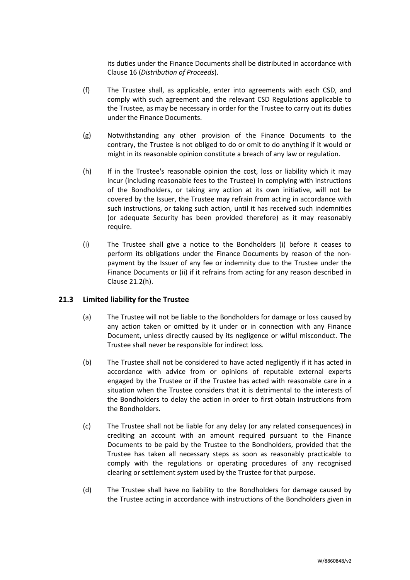its duties under the Finance Documents shall be distributed in accordance with Clause [16](#page-26-0) (*[Distribution of Proceeds](#page-26-0)*).

- (f) The Trustee shall, as applicable, enter into agreements with each CSD, and comply with such agreement and the relevant CSD Regulations applicable to the Trustee, as may be necessary in order for the Trustee to carry out its duties under the Finance Documents.
- (g) Notwithstanding any other provision of the Finance Documents to the contrary, the Trustee is not obliged to do or omit to do anything if it would or might in its reasonable opinion constitute a breach of any law or regulation.
- <span id="page-34-0"></span>(h) If in the Trustee's reasonable opinion the cost, loss or liability which it may incur (including reasonable fees to the Trustee) in complying with instructions of the Bondholders, or taking any action at its own initiative, will not be covered by the Issuer, the Trustee may refrain from acting in accordance with such instructions, or taking such action, until it has received such indemnities (or adequate Security has been provided therefore) as it may reasonably require.
- <span id="page-34-1"></span>(i) The Trustee shall give a notice to the Bondholders (i) before it ceases to perform its obligations under the Finance Documents by reason of the nonpayment by the Issuer of any fee or indemnity due to the Trustee under the Finance Documents or (ii) if it refrains from acting for any reason described in Clause [21.2\(h\).](#page-34-0)

## **21.3 Limited liability for the Trustee**

- (a) The Trustee will not be liable to the Bondholders for damage or loss caused by any action taken or omitted by it under or in connection with any Finance Document, unless directly caused by its negligence or wilful misconduct. The Trustee shall never be responsible for indirect loss.
- (b) The Trustee shall not be considered to have acted negligently if it has acted in accordance with advice from or opinions of reputable external experts engaged by the Trustee or if the Trustee has acted with reasonable care in a situation when the Trustee considers that it is detrimental to the interests of the Bondholders to delay the action in order to first obtain instructions from the Bondholders.
- (c) The Trustee shall not be liable for any delay (or any related consequences) in crediting an account with an amount required pursuant to the Finance Documents to be paid by the Trustee to the Bondholders, provided that the Trustee has taken all necessary steps as soon as reasonably practicable to comply with the regulations or operating procedures of any recognised clearing or settlement system used by the Trustee for that purpose.
- (d) The Trustee shall have no liability to the Bondholders for damage caused by the Trustee acting in accordance with instructions of the Bondholders given in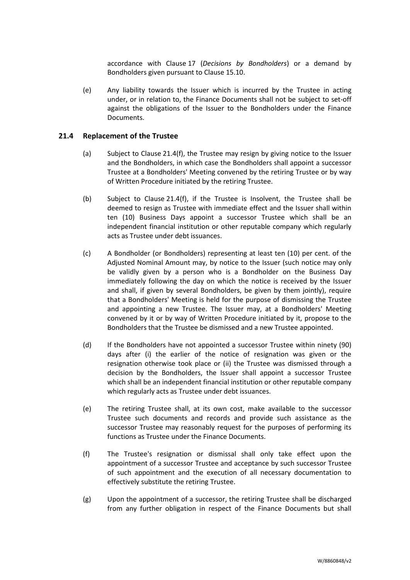accordance with Clause [17](#page-27-0) (*[Decisions by Bondholders](#page-27-0)*) or a demand by Bondholders given pursuant to Clause [15.10.](#page-25-1)

(e) Any liability towards the Issuer which is incurred by the Trustee in acting under, or in relation to, the Finance Documents shall not be subject to set-off against the obligations of the Issuer to the Bondholders under the Finance Documents.

## <span id="page-35-2"></span>**21.4 Replacement of the Trustee**

- (a) Subject to Clause [21.4\(f\),](#page-35-1) the Trustee may resign by giving notice to the Issuer and the Bondholders, in which case the Bondholders shall appoint a successor Trustee at a Bondholders' Meeting convened by the retiring Trustee or by way of Written Procedure initiated by the retiring Trustee.
- (b) Subject to Clause [21.4\(f\),](#page-35-1) if the Trustee is Insolvent, the Trustee shall be deemed to resign as Trustee with immediate effect and the Issuer shall within ten (10) Business Days appoint a successor Trustee which shall be an independent financial institution or other reputable company which regularly acts as Trustee under debt issuances.
- <span id="page-35-0"></span>(c) A Bondholder (or Bondholders) representing at least ten (10) per cent. of the Adjusted Nominal Amount may, by notice to the Issuer (such notice may only be validly given by a person who is a Bondholder on the Business Day immediately following the day on which the notice is received by the Issuer and shall, if given by several Bondholders, be given by them jointly), require that a Bondholders' Meeting is held for the purpose of dismissing the Trustee and appointing a new Trustee. The Issuer may, at a Bondholders' Meeting convened by it or by way of Written Procedure initiated by it, propose to the Bondholders that the Trustee be dismissed and a new Trustee appointed.
- (d) If the Bondholders have not appointed a successor Trustee within ninety (90) days after (i) the earlier of the notice of resignation was given or the resignation otherwise took place or (ii) the Trustee was dismissed through a decision by the Bondholders, the Issuer shall appoint a successor Trustee which shall be an independent financial institution or other reputable company which regularly acts as Trustee under debt issuances.
- (e) The retiring Trustee shall, at its own cost, make available to the successor Trustee such documents and records and provide such assistance as the successor Trustee may reasonably request for the purposes of performing its functions as Trustee under the Finance Documents.
- <span id="page-35-1"></span>(f) The Trustee's resignation or dismissal shall only take effect upon the appointment of a successor Trustee and acceptance by such successor Trustee of such appointment and the execution of all necessary documentation to effectively substitute the retiring Trustee.
- (g) Upon the appointment of a successor, the retiring Trustee shall be discharged from any further obligation in respect of the Finance Documents but shall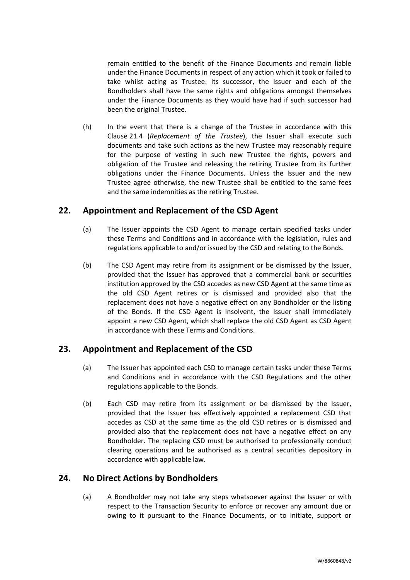remain entitled to the benefit of the Finance Documents and remain liable under the Finance Documents in respect of any action which it took or failed to take whilst acting as Trustee. Its successor, the Issuer and each of the Bondholders shall have the same rights and obligations amongst themselves under the Finance Documents as they would have had if such successor had been the original Trustee.

(h) In the event that there is a change of the Trustee in accordance with this Clause [21.4](#page-35-2) (*[Replacement of the Trustee](#page-35-2)*), the Issuer shall execute such documents and take such actions as the new Trustee may reasonably require for the purpose of vesting in such new Trustee the rights, powers and obligation of the Trustee and releasing the retiring Trustee from its further obligations under the Finance Documents. Unless the Issuer and the new Trustee agree otherwise, the new Trustee shall be entitled to the same fees and the same indemnities as the retiring Trustee.

# <span id="page-36-0"></span>**22. Appointment and Replacement of the CSD Agent**

- (a) The Issuer appoints the CSD Agent to manage certain specified tasks under these Terms and Conditions and in accordance with the legislation, rules and regulations applicable to and/or issued by the CSD and relating to the Bonds.
- (b) The CSD Agent may retire from its assignment or be dismissed by the Issuer, provided that the Issuer has approved that a commercial bank or securities institution approved by the CSD accedes as new CSD Agent at the same time as the old CSD Agent retires or is dismissed and provided also that the replacement does not have a negative effect on any Bondholder or the listing of the Bonds. If the CSD Agent is Insolvent, the Issuer shall immediately appoint a new CSD Agent, which shall replace the old CSD Agent as CSD Agent in accordance with these Terms and Conditions.

# <span id="page-36-1"></span>**23. Appointment and Replacement of the CSD**

- (a) The Issuer has appointed each CSD to manage certain tasks under these Terms and Conditions and in accordance with the CSD Regulations and the other regulations applicable to the Bonds.
- (b) Each CSD may retire from its assignment or be dismissed by the Issuer, provided that the Issuer has effectively appointed a replacement CSD that accedes as CSD at the same time as the old CSD retires or is dismissed and provided also that the replacement does not have a negative effect on any Bondholder. The replacing CSD must be authorised to professionally conduct clearing operations and be authorised as a central securities depository in accordance with applicable law.

# <span id="page-36-2"></span>**24. No Direct Actions by Bondholders**

(a) A Bondholder may not take any steps whatsoever against the Issuer or with respect to the Transaction Security to enforce or recover any amount due or owing to it pursuant to the Finance Documents, or to initiate, support or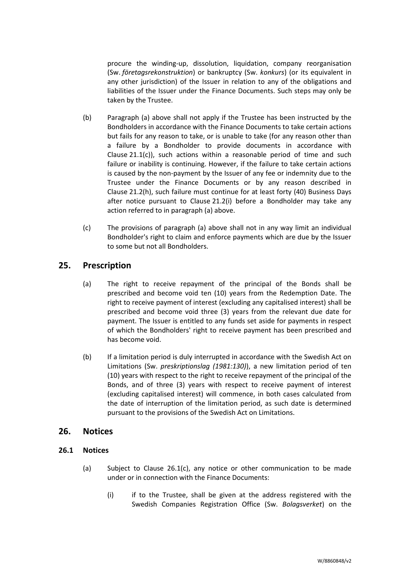procure the winding-up, dissolution, liquidation, company reorganisation (Sw. *företagsrekonstruktion*) or bankruptcy (Sw. *konkurs*) (or its equivalent in any other jurisdiction) of the Issuer in relation to any of the obligations and liabilities of the Issuer under the Finance Documents. Such steps may only be taken by the Trustee.

- (b) Paragraph (a) above shall not apply if the Trustee has been instructed by the Bondholders in accordance with the Finance Documents to take certain actions but fails for any reason to take, or is unable to take (for any reason other than a failure by a Bondholder to provide documents in accordance with Clause [21.1\(c\)\)](#page-32-4), such actions within a reasonable period of time and such failure or inability is continuing. However, if the failure to take certain actions is caused by the non-payment by the Issuer of any fee or indemnity due to the Trustee under the Finance Documents or by any reason described in Clause [21.2\(h\),](#page-34-0) such failure must continue for at least forty (40) Business Days after notice pursuant to Clause [21.2\(i\)](#page-34-1) before a Bondholder may take any action referred to in paragraph (a) above.
- (c) The provisions of paragraph (a) above shall not in any way limit an individual Bondholder's right to claim and enforce payments which are due by the Issuer to some but not all Bondholders.

# <span id="page-37-0"></span>**25. Prescription**

- (a) The right to receive repayment of the principal of the Bonds shall be prescribed and become void ten (10) years from the Redemption Date. The right to receive payment of interest (excluding any capitalised interest) shall be prescribed and become void three (3) years from the relevant due date for payment. The Issuer is entitled to any funds set aside for payments in respect of which the Bondholders' right to receive payment has been prescribed and has become void.
- (b) If a limitation period is duly interrupted in accordance with the Swedish Act on Limitations (Sw. *preskriptionslag (1981:130)*), a new limitation period of ten (10) years with respect to the right to receive repayment of the principal of the Bonds, and of three (3) years with respect to receive payment of interest (excluding capitalised interest) will commence, in both cases calculated from the date of interruption of the limitation period, as such date is determined pursuant to the provisions of the Swedish Act on Limitations.

## <span id="page-37-1"></span>**26. Notices**

## <span id="page-37-2"></span>**26.1 Notices**

- (a) Subject to Clause [26.1\(c\),](#page-37-2) any notice or other communication to be made under or in connection with the Finance Documents:
	- (i) if to the Trustee, shall be given at the address registered with the Swedish Companies Registration Office (Sw. *Bolagsverket*) on the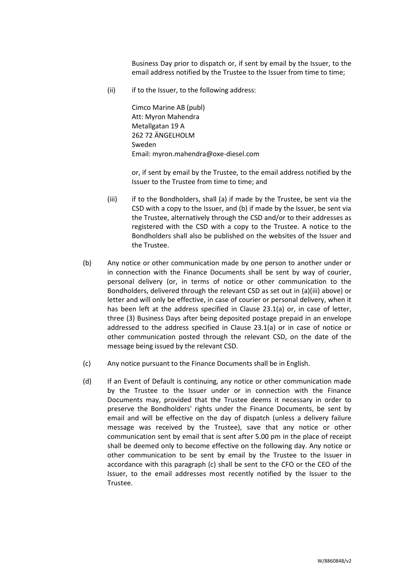Business Day prior to dispatch or, if sent by email by the Issuer, to the email address notified by the Trustee to the Issuer from time to time;

(ii) if to the Issuer, to the following address:

Cimco Marine AB (publ) Att: Myron Mahendra Metallgatan 19 A 262 72 ÄNGELHOLM Sweden Email: myron.mahendra@oxe-diesel.com

or, if sent by email by the Trustee, to the email address notified by the Issuer to the Trustee from time to time; and

- (iii) if to the Bondholders, shall (a) if made by the Trustee, be sent via the CSD with a copy to the Issuer, and (b) if made by the Issuer, be sent via the Trustee, alternatively through the CSD and/or to their addresses as registered with the CSD with a copy to the Trustee. A notice to the Bondholders shall also be published on the websites of the Issuer and the Trustee.
- (b) Any notice or other communication made by one person to another under or in connection with the Finance Documents shall be sent by way of courier, personal delivery (or, in terms of notice or other communication to the Bondholders, delivered through the relevant CSD as set out in (a)(iii) above) or letter and will only be effective, in case of courier or personal delivery, when it has been left at the address specified in Clause 23.1(a) or, in case of letter, three (3) Business Days after being deposited postage prepaid in an envelope addressed to the address specified in Clause 23.1(a) or in case of notice or other communication posted through the relevant CSD, on the date of the message being issued by the relevant CSD.
- (c) Any notice pursuant to the Finance Documents shall be in English.
- (d) If an Event of Default is continuing, any notice or other communication made by the Trustee to the Issuer under or in connection with the Finance Documents may, provided that the Trustee deems it necessary in order to preserve the Bondholders' rights under the Finance Documents, be sent by email and will be effective on the day of dispatch (unless a delivery failure message was received by the Trustee), save that any notice or other communication sent by email that is sent after 5.00 pm in the place of receipt shall be deemed only to become effective on the following day. Any notice or other communication to be sent by email by the Trustee to the Issuer in accordance with this paragraph (c) shall be sent to the CFO or the CEO of the Issuer, to the email addresses most recently notified by the Issuer to the Trustee.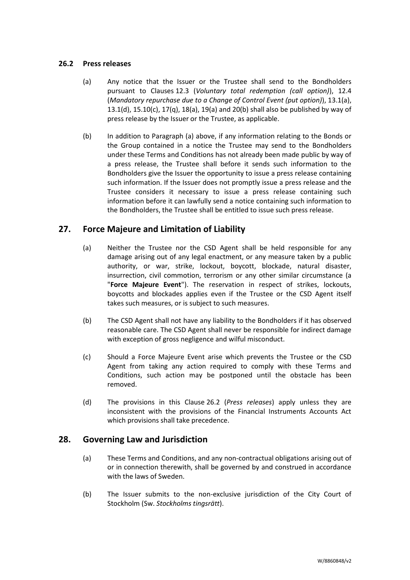## <span id="page-39-3"></span>**26.2 Press releases**

- (a) Any notice that the Issuer or the Trustee shall send to the Bondholders pursuant to Clauses [12.3](#page-18-1) (*Voluntary total redemption (call option)*), [12.4](#page-19-2) (*Mandatory repurchase due to a Change of Control Event (put option)*), [13.1\(a\),](#page-19-3) [13.1\(d\),](#page-20-1) [15.10\(c\),](#page-25-2) [17\(q\),](#page-30-3) [18\(a\),](#page-30-1) [19\(a\)](#page-31-2) an[d 20\(b\)](#page-32-5) shall also be published by way of press release by the Issuer or the Trustee, as applicable.
- (b) In addition to Paragraph (a) above, if any information relating to the Bonds or the Group contained in a notice the Trustee may send to the Bondholders under these Terms and Conditions has not already been made public by way of a press release, the Trustee shall before it sends such information to the Bondholders give the Issuer the opportunity to issue a press release containing such information. If the Issuer does not promptly issue a press release and the Trustee considers it necessary to issue a press release containing such information before it can lawfully send a notice containing such information to the Bondholders, the Trustee shall be entitled to issue such press release.

# <span id="page-39-2"></span><span id="page-39-0"></span>**27. Force Majeure and Limitation of Liability**

- (a) Neither the Trustee nor the CSD Agent shall be held responsible for any damage arising out of any legal enactment, or any measure taken by a public authority, or war, strike, lockout, boycott, blockade, natural disaster, insurrection, civil commotion, terrorism or any other similar circumstance (a "**Force Majeure Event**"). The reservation in respect of strikes, lockouts, boycotts and blockades applies even if the Trustee or the CSD Agent itself takes such measures, or is subject to such measures.
- (b) The CSD Agent shall not have any liability to the Bondholders if it has observed reasonable care. The CSD Agent shall never be responsible for indirect damage with exception of gross negligence and wilful misconduct.
- (c) Should a Force Majeure Event arise which prevents the Trustee or the CSD Agent from taking any action required to comply with these Terms and Conditions, such action may be postponed until the obstacle has been removed.
- (d) The provisions in this Clause [26.2](#page-39-3) (*[Press releases](#page-39-3)*) apply unless they are inconsistent with the provisions of the Financial Instruments Accounts Act which provisions shall take precedence.

# <span id="page-39-1"></span>**28. Governing Law and Jurisdiction**

- (a) These Terms and Conditions, and any non-contractual obligations arising out of or in connection therewith, shall be governed by and construed in accordance with the laws of Sweden.
- (b) The Issuer submits to the non-exclusive jurisdiction of the City Court of Stockholm (Sw. *Stockholms tingsrätt*).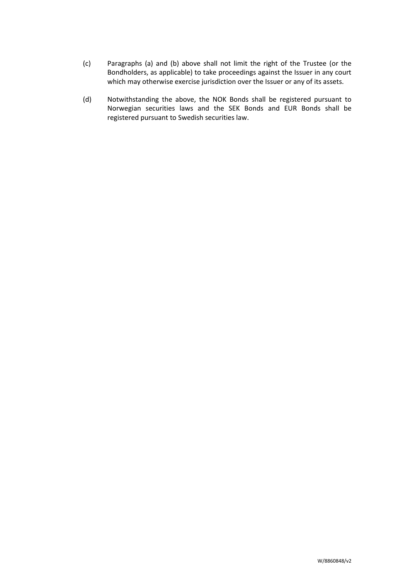- (c) Paragraphs (a) and (b) above shall not limit the right of the Trustee (or the Bondholders, as applicable) to take proceedings against the Issuer in any court which may otherwise exercise jurisdiction over the Issuer or any of its assets.
- (d) Notwithstanding the above, the NOK Bonds shall be registered pursuant to Norwegian securities laws and the SEK Bonds and EUR Bonds shall be registered pursuant to Swedish securities law.